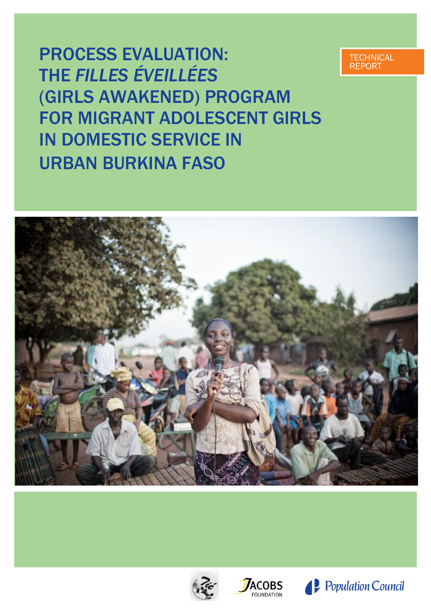PROCESS EVALUATION: THE *FILLES ÉVEILLÉES* (GIRLS AWAKENED) PROGRAM FOR MIGRANT ADOLESCENT GIRLS IN DOMESTIC SERVICE IN URBAN BURKINA FASO

#### **TECHNICAL** REPORT







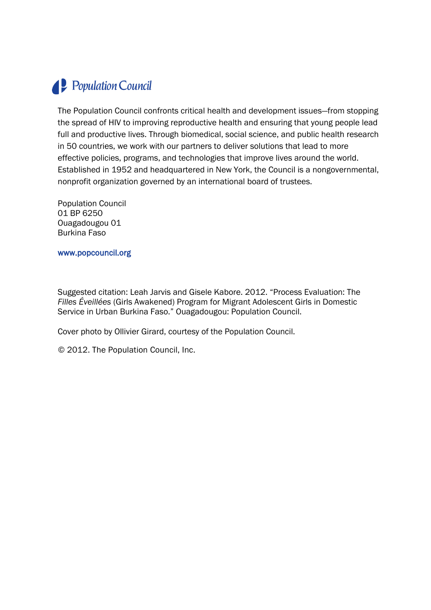# Population Council

The Population Council confronts critical health and development issues—from stopping the spread of HIV to improving reproductive health and ensuring that young people lead full and productive lives. Through biomedical, social science, and public health research in 50 countries, we work with our partners to deliver solutions that lead to more effective policies, programs, and technologies that improve lives around the world. Established in 1952 and headquartered in New York, the Council is a nongovernmental, nonprofit organization governed by an international board of trustees.

Population Council 01 BP 6250 Ouagadougou 01 Burkina Faso

www.popcouncil.org

Suggested citation: Leah Jarvis and Gisele Kabore. 2012. "Process Evaluation: The *Filles Éveillées* (Girls Awakened) Program for Migrant Adolescent Girls in Domestic Service in Urban Burkina Faso." Ouagadougou: Population Council.

Cover photo by Ollivier Girard, courtesy of the Population Council.

© 2012. The Population Council, Inc.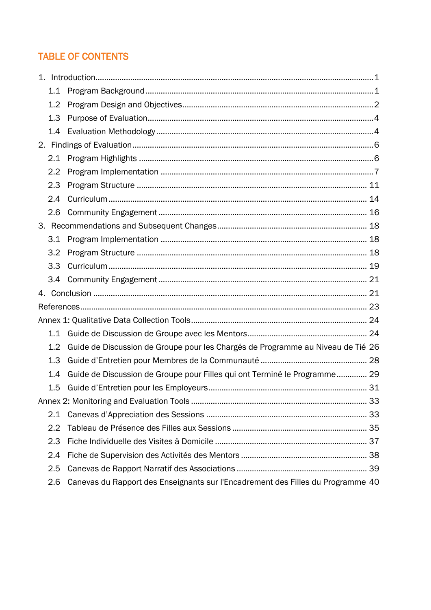# **TABLE OF CONTENTS**

| Guide de Discussion de Groupe pour les Chargés de Programme au Niveau de Tié 26 |
|---------------------------------------------------------------------------------|
|                                                                                 |
| Guide de Discussion de Groupe pour Filles qui ont Terminé le Programme 29       |
|                                                                                 |
|                                                                                 |
|                                                                                 |
|                                                                                 |
|                                                                                 |
|                                                                                 |
|                                                                                 |
|                                                                                 |
|                                                                                 |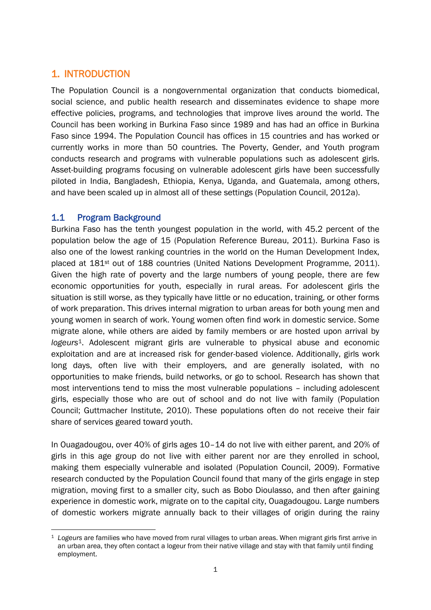# <span id="page-3-0"></span>1. INTRODUCTION

The Population Council is a nongovernmental organization that conducts biomedical, social science, and public health research and disseminates evidence to shape more effective policies, programs, and technologies that improve lives around the world. The Council has been working in Burkina Faso since 1989 and has had an office in Burkina Faso since 1994. The Population Council has offices in 15 countries and has worked or currently works in more than 50 countries. The Poverty, Gender, and Youth program conducts research and programs with vulnerable populations such as adolescent girls. Asset-building programs focusing on vulnerable adolescent girls have been successfully piloted in India, Bangladesh, Ethiopia, Kenya, Uganda, and Guatemala, among others, and have been scaled up in almost all of these settings (Population Council, 2012a).

### <span id="page-3-1"></span>1.1 Program Background

Burkina Faso has the tenth youngest population in the world, with 45.2 percent of the population below the age of 15 (Population Reference Bureau, 2011). Burkina Faso is also one of the lowest ranking countries in the world on the Human Development Index, placed at 181st out of 188 countries (United Nations Development Programme, 2011). Given the high rate of poverty and the large numbers of young people, there are few economic opportunities for youth, especially in rural areas. For adolescent girls the situation is still worse, as they typically have little or no education, training, or other forms of work preparation. This drives internal migration to urban areas for both young men and young women in search of work. Young women often find work in domestic service. Some migrate alone, while others are aided by family members or are hosted upon arrival by *logeurs*1. Adolescent migrant girls are vulnerable to physical abuse and economic exploitation and are at increased risk for gender-based violence. Additionally, girls work long days, often live with their employers, and are generally isolated, with no opportunities to make friends, build networks, or go to school. Research has shown that most interventions tend to miss the most vulnerable populations – including adolescent girls, especially those who are out of school and do not live with family (Population Council; Guttmacher Institute, 2010). These populations often do not receive their fair share of services geared toward youth.

In Ouagadougou, over 40% of girls ages 10–14 do not live with either parent, and 20% of girls in this age group do not live with either parent nor are they enrolled in school, making them especially vulnerable and isolated (Population Council, 2009). Formative research conducted by the Population Council found that many of the girls engage in step migration, moving first to a smaller city, such as Bobo Dioulasso, and then after gaining experience in domestic work, migrate on to the capital city, Ouagadougou. Large numbers of domestic workers migrate annually back to their villages of origin during the rainy

<sup>1</sup> <sup>1</sup> *Logeurs* are families who have moved from rural villages to urban areas. When migrant girls first arrive in an urban area, they often contact a logeur from their native village and stay with that family until finding employment.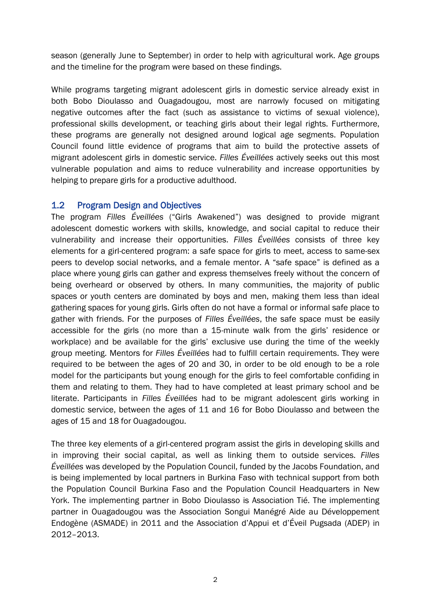season (generally June to September) in order to help with agricultural work. Age groups and the timeline for the program were based on these findings.

While programs targeting migrant adolescent girls in domestic service already exist in both Bobo Dioulasso and Ouagadougou, most are narrowly focused on mitigating negative outcomes after the fact (such as assistance to victims of sexual violence), professional skills development, or teaching girls about their legal rights. Furthermore, these programs are generally not designed around logical age segments. Population Council found little evidence of programs that aim to build the protective assets of migrant adolescent girls in domestic service. *Filles Éveillées* actively seeks out this most vulnerable population and aims to reduce vulnerability and increase opportunities by helping to prepare girls for a productive adulthood.

### <span id="page-4-0"></span>1.2 Program Design and Objectives

The program *Filles Éveillées* ("Girls Awakened") was designed to provide migrant adolescent domestic workers with skills, knowledge, and social capital to reduce their vulnerability and increase their opportunities. *Filles Éveillées* consists of three key elements for a girl-centered program: a safe space for girls to meet, access to same-sex peers to develop social networks, and a female mentor. A "safe space" is defined as a place where young girls can gather and express themselves freely without the concern of being overheard or observed by others. In many communities, the majority of public spaces or youth centers are dominated by boys and men, making them less than ideal gathering spaces for young girls. Girls often do not have a formal or informal safe place to gather with friends. For the purposes of *Filles Éveillées*, the safe space must be easily accessible for the girls (no more than a 15-minute walk from the girls' residence or workplace) and be available for the girls' exclusive use during the time of the weekly group meeting. Mentors for *Filles Éveillées* had to fulfill certain requirements. They were required to be between the ages of 20 and 30, in order to be old enough to be a role model for the participants but young enough for the girls to feel comfortable confiding in them and relating to them. They had to have completed at least primary school and be literate. Participants in *Filles Éveillées* had to be migrant adolescent girls working in domestic service, between the ages of 11 and 16 for Bobo Dioulasso and between the ages of 15 and 18 for Ouagadougou.

The three key elements of a girl-centered program assist the girls in developing skills and in improving their social capital, as well as linking them to outside services. *Filles Éveillées* was developed by the Population Council, funded by the Jacobs Foundation, and is being implemented by local partners in Burkina Faso with technical support from both the Population Council Burkina Faso and the Population Council Headquarters in New York. The implementing partner in Bobo Dioulasso is Association Tié. The implementing partner in Ouagadougou was the Association Songui Manégré Aide au Développement Endogène (ASMADE) in 2011 and the Association d'Appui et d'Éveil Pugsada (ADEP) in 2012–2013.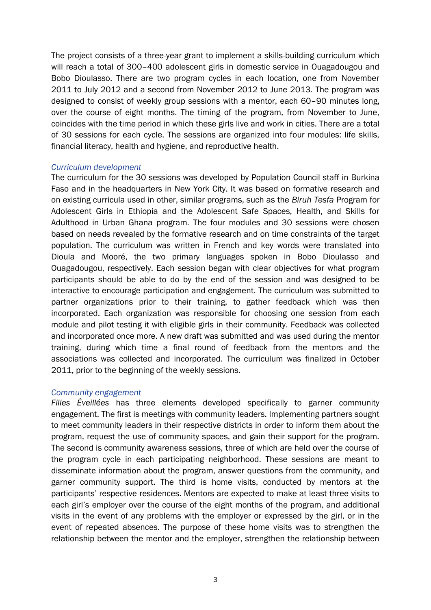The project consists of a three-year grant to implement a skills-building curriculum which will reach a total of 300-400 adolescent girls in domestic service in Ouagadougou and Bobo Dioulasso. There are two program cycles in each location, one from November 2011 to July 2012 and a second from November 2012 to June 2013. The program was designed to consist of weekly group sessions with a mentor, each 60–90 minutes long, over the course of eight months. The timing of the program, from November to June, coincides with the time period in which these girls live and work in cities. There are a total of 30 sessions for each cycle. The sessions are organized into four modules: life skills, financial literacy, health and hygiene, and reproductive health.

#### *Curriculum development*

The curriculum for the 30 sessions was developed by Population Council staff in Burkina Faso and in the headquarters in New York City. It was based on formative research and on existing curricula used in other, similar programs, such as the *Biruh Tesfa* Program for Adolescent Girls in Ethiopia and the Adolescent Safe Spaces, Health, and Skills for Adulthood in Urban Ghana program. The four modules and 30 sessions were chosen based on needs revealed by the formative research and on time constraints of the target population. The curriculum was written in French and key words were translated into Dioula and Mooré, the two primary languages spoken in Bobo Dioulasso and Ouagadougou, respectively. Each session began with clear objectives for what program participants should be able to do by the end of the session and was designed to be interactive to encourage participation and engagement. The curriculum was submitted to partner organizations prior to their training, to gather feedback which was then incorporated. Each organization was responsible for choosing one session from each module and pilot testing it with eligible girls in their community. Feedback was collected and incorporated once more. A new draft was submitted and was used during the mentor training, during which time a final round of feedback from the mentors and the associations was collected and incorporated. The curriculum was finalized in October 2011, prior to the beginning of the weekly sessions.

#### *Community engagement*

*Filles Éveillées* has three elements developed specifically to garner community engagement. The first is meetings with community leaders. Implementing partners sought to meet community leaders in their respective districts in order to inform them about the program, request the use of community spaces, and gain their support for the program. The second is community awareness sessions, three of which are held over the course of the program cycle in each participating neighborhood. These sessions are meant to disseminate information about the program, answer questions from the community, and garner community support. The third is home visits, conducted by mentors at the participants' respective residences. Mentors are expected to make at least three visits to each girl's employer over the course of the eight months of the program, and additional visits in the event of any problems with the employer or expressed by the girl, or in the event of repeated absences. The purpose of these home visits was to strengthen the relationship between the mentor and the employer, strengthen the relationship between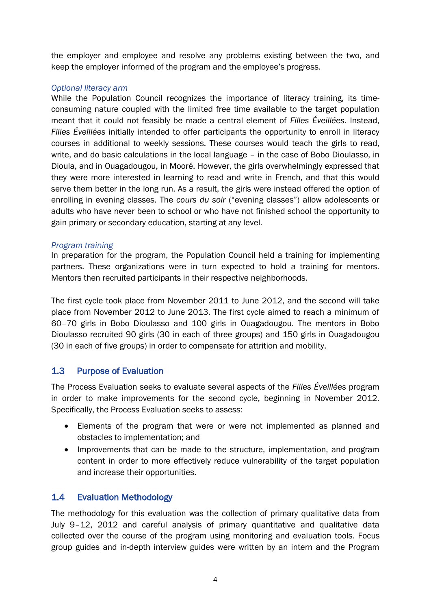the employer and employee and resolve any problems existing between the two, and keep the employer informed of the program and the employee's progress.

### *Optional literacy arm*

While the Population Council recognizes the importance of literacy training, its timeconsuming nature coupled with the limited free time available to the target population meant that it could not feasibly be made a central element of *Filles Éveillées.* Instead, *Filles Éveillées* initially intended to offer participants the opportunity to enroll in literacy courses in additional to weekly sessions. These courses would teach the girls to read, write, and do basic calculations in the local language – in the case of Bobo Dioulasso, in Dioula, and in Ouagadougou, in Mooré. However, the girls overwhelmingly expressed that they were more interested in learning to read and write in French, and that this would serve them better in the long run. As a result, the girls were instead offered the option of enrolling in evening classes. The *cours du soir* ("evening classes") allow adolescents or adults who have never been to school or who have not finished school the opportunity to gain primary or secondary education, starting at any level.

### *Program training*

In preparation for the program, the Population Council held a training for implementing partners. These organizations were in turn expected to hold a training for mentors. Mentors then recruited participants in their respective neighborhoods.

The first cycle took place from November 2011 to June 2012, and the second will take place from November 2012 to June 2013. The first cycle aimed to reach a minimum of 60–70 girls in Bobo Dioulasso and 100 girls in Ouagadougou. The mentors in Bobo Dioulasso recruited 90 girls (30 in each of three groups) and 150 girls in Ouagadougou (30 in each of five groups) in order to compensate for attrition and mobility.

# <span id="page-6-0"></span>1.3 Purpose of Evaluation

The Process Evaluation seeks to evaluate several aspects of the *Filles Éveillées* program in order to make improvements for the second cycle, beginning in November 2012. Specifically, the Process Evaluation seeks to assess:

- Elements of the program that were or were not implemented as planned and obstacles to implementation; and
- Improvements that can be made to the structure, implementation, and program content in order to more effectively reduce vulnerability of the target population and increase their opportunities.

# <span id="page-6-1"></span>1.4 Evaluation Methodology

The methodology for this evaluation was the collection of primary qualitative data from July 9–12, 2012 and careful analysis of primary quantitative and qualitative data collected over the course of the program using monitoring and evaluation tools. Focus group guides and in-depth interview guides were written by an intern and the Program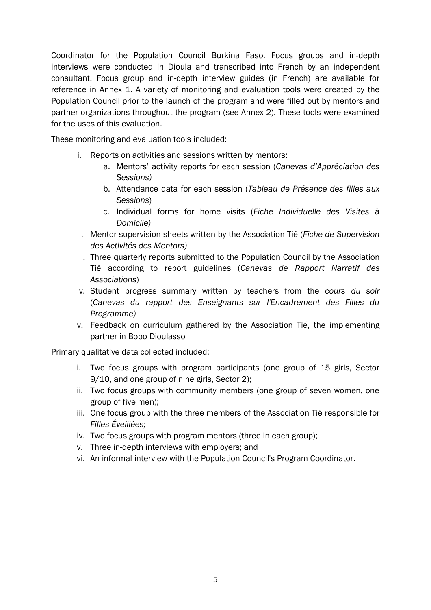Coordinator for the Population Council Burkina Faso. Focus groups and in-depth interviews were conducted in Dioula and transcribed into French by an independent consultant. Focus group and in-depth interview guides (in French) are available for reference in Annex 1. A variety of monitoring and evaluation tools were created by the Population Council prior to the launch of the program and were filled out by mentors and partner organizations throughout the program (see Annex 2). These tools were examined for the uses of this evaluation.

These monitoring and evaluation tools included:

- i. Reports on activities and sessions written by mentors:
	- a. Mentors' activity reports for each session (*Canevas d'Appréciation des Sessions)*
	- b. Attendance data for each session (*Tableau de Présence des filles aux Sessions*)
	- c. Individual forms for home visits (*Fiche Individuelle des Visites à Domicile)*
- ii. Mentor supervision sheets written by the Association Tié (*Fiche de Supervision des Activités des Mentors)*
- iii. Three quarterly reports submitted to the Population Council by the Association Tié according to report guidelines (*Canevas de Rapport Narratif des Associations*)
- iv. Student progress summary written by teachers from the *cours du soir* (*Canevas du rapport des Enseignants sur l'Encadrement des Filles du Programme)*
- v. Feedback on curriculum gathered by the Association Tié, the implementing partner in Bobo Dioulasso

Primary qualitative data collected included:

- i. Two focus groups with program participants (one group of 15 girls, Sector 9/10, and one group of nine girls, Sector 2);
- ii. Two focus groups with community members (one group of seven women, one group of five men);
- iii. One focus group with the three members of the Association Tié responsible for *Filles Éveillées;*
- iv. Two focus groups with program mentors (three in each group);
- v. Three in-depth interviews with employers; and
- <span id="page-7-0"></span>vi. An informal interview with the Population Council's Program Coordinator.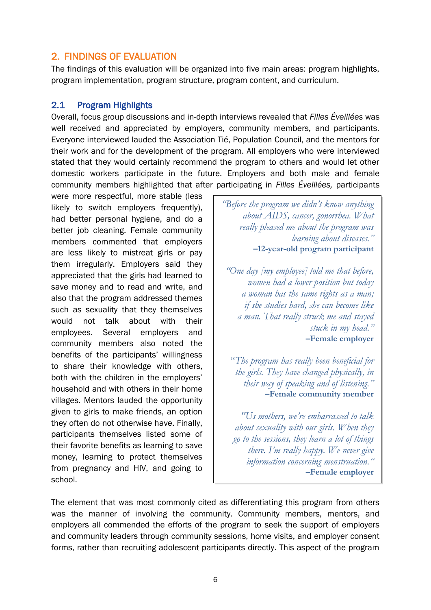# 2. FINDINGS OF EVALUATION

The findings of this evaluation will be organized into five main areas: program highlights, program implementation, program structure, program content, and curriculum.

### <span id="page-8-0"></span>2.1 Program Highlights

Overall, focus group discussions and in-depth interviews revealed that *Filles Éveillées* was well received and appreciated by employers, community members, and participants. Everyone interviewed lauded the Association Tié, Population Council, and the mentors for their work and for the development of the program. All employers who were interviewed stated that they would certainly recommend the program to others and would let other domestic workers participate in the future. Employers and both male and female community members highlighted that after participating in *Filles Éveillées,* participants

were more respectful, more stable (less likely to switch employers frequently), had better personal hygiene, and do a better job cleaning. Female community members commented that employers are less likely to mistreat girls or pay them irregularly. Employers said they appreciated that the girls had learned to save money and to read and write, and also that the program addressed themes such as sexuality that they themselves would not talk about with their employees. Several employers and community members also noted the benefits of the participants' willingness to share their knowledge with others, both with the children in the employers' household and with others in their home villages. Mentors lauded the opportunity given to girls to make friends, an option they often do not otherwise have. Finally, participants themselves listed some of their favorite benefits as learning to save money, learning to protect themselves from pregnancy and HIV, and going to school.

*"Before the program we didn't know anything about AIDS, cancer, gonorrhea. What really pleased me about the program was learning about diseases."* **–12-year-old program participant**

*"One day [my employee] told me that before, women had a lower position but today a woman has the same rights as a man; if she studies hard, she can become like a man. That really struck me and stayed stuck in my head."* **–Female employer**

"*The program has really been beneficial for the girls. They have changed physically, in their way of speaking and of listening."* **–Female community member**

*"Us mothers, we're embarrassed to talk about sexuality with our girls. When they go to the sessions, they learn a lot of things there. I'm really happy. We never give information concerning menstruation."* **–Female employer**

The element that was most commonly cited as differentiating this program from others was the manner of involving the community. Community members, mentors, and employers all commended the efforts of the program to seek the support of employers and community leaders through community sessions, home visits, and employer consent forms, rather than recruiting adolescent participants directly. This aspect of the program *"With the program the employers get serious and the girls' salaries are regular."*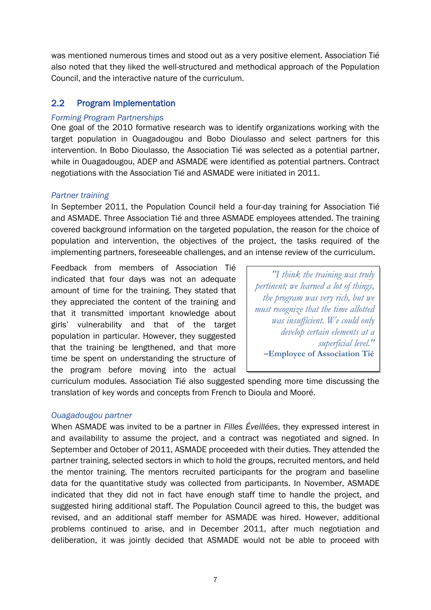was mentioned numerous times and stood out as a very positive element. Association Tié also noted that they liked the well-structured and methodical approach of the Population Council, and the interactive nature of the curriculum.

## <span id="page-9-0"></span>2.2 Program Implementation

### *Forming Program Partnerships*

One goal of the 2010 formative research was to identify organizations working with the target population in Ouagadougou and Bobo Dioulasso and select partners for this intervention. In Bobo Dioulasso, the Association Tié was selected as a potential partner, while in Ouagadougou, ADEP and ASMADE were identified as potential partners. Contract negotiations with the Association Tié and ASMADE were initiated in 2011.

### *Partner training*

In September 2011, the Population Council held a four-day training for Association Tié and ASMADE. Three Association Tié and three ASMADE employees attended. The training covered background information on the targeted population, the reason for the choice of population and intervention, the objectives of the project, the tasks required of the implementing partners, foreseeable challenges, and an intense review of the curriculum.

Feedback from members of Association Tié indicated that four days was not an adequate amount of time for the training. They stated that they appreciated the content of the training and that it transmitted important knowledge about girls' vulnerability and that of the target population in particular. However, they suggested that the training be lengthened, and that more time be spent on understanding the structure of the program before moving into the actual

*"I think the training was truly pertinent; we learned a lot of things, the program was very rich, but we must recognize that the time allotted was insufficient. We could only develop certain elements at a superficial level."* **–Employee of Association Tié**

curriculum modules. Association Tié also suggested spending more time discussing the translation of key words and concepts from French to Dioula and Mooré.

### *Ouagadougou partner*

When ASMADE was invited to be a partner in *Filles Éveillées*, they expressed interest in and availability to assume the project, and a contract was negotiated and signed. In September and October of 2011, ASMADE proceeded with their duties. They attended the partner training, selected sectors in which to hold the groups, recruited mentors, and held the mentor training. The mentors recruited participants for the program and baseline data for the quantitative study was collected from participants. In November, ASMADE indicated that they did not in fact have enough staff time to handle the project, and suggested hiring additional staff. The Population Council agreed to this, the budget was revised, and an additional staff member for ASMADE was hired. However, additional problems continued to arise, and in December 2011, after much negotiation and deliberation, it was jointly decided that ASMADE would not be able to proceed with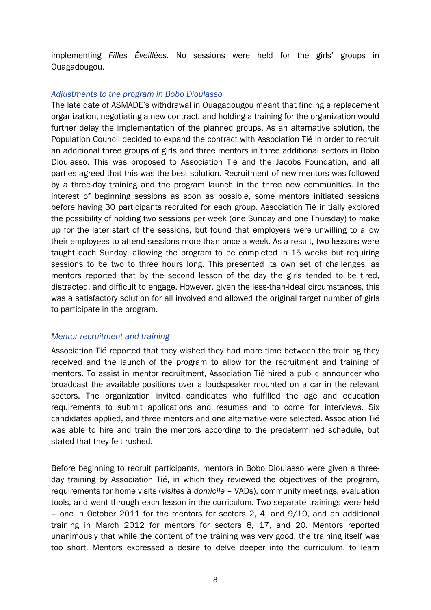implementing *Filles Éveillées.* No sessions were held for the girls' groups in Ouagadougou.

#### *Adjustments to the program in Bobo Dioulasso*

The late date of ASMADE's withdrawal in Ouagadougou meant that finding a replacement organization, negotiating a new contract, and holding a training for the organization would further delay the implementation of the planned groups. As an alternative solution, the Population Council decided to expand the contract with Association Tié in order to recruit an additional three groups of girls and three mentors in three additional sectors in Bobo Dioulasso. This was proposed to Association Tié and the Jacobs Foundation, and all parties agreed that this was the best solution. Recruitment of new mentors was followed by a three-day training and the program launch in the three new communities. In the interest of beginning sessions as soon as possible, some mentors initiated sessions before having 30 participants recruited for each group. Association Tié initially explored the possibility of holding two sessions per week (one Sunday and one Thursday) to make up for the later start of the sessions, but found that employers were unwilling to allow their employees to attend sessions more than once a week. As a result, two lessons were taught each Sunday, allowing the program to be completed in 15 weeks but requiring sessions to be two to three hours long. This presented its own set of challenges, as mentors reported that by the second lesson of the day the girls tended to be tired, distracted, and difficult to engage. However, given the less-than-ideal circumstances, this was a satisfactory solution for all involved and allowed the original target number of girls to participate in the program.

#### *Mentor recruitment and training*

Association Tié reported that they wished they had more time between the training they received and the launch of the program to allow for the recruitment and training of mentors. To assist in mentor recruitment, Association Tié hired a public announcer who broadcast the available positions over a loudspeaker mounted on a car in the relevant sectors. The organization invited candidates who fulfilled the age and education requirements to submit applications and resumes and to come for interviews. Six candidates applied, and three mentors and one alternative were selected. Association Tié was able to hire and train the mentors according to the predetermined schedule, but stated that they felt rushed.

Before beginning to recruit participants, mentors in Bobo Dioulasso were given a threeday training by Association Tié, in which they reviewed the objectives of the program, requirements for home visits (*visites à domicile* – VADs), community meetings, evaluation tools, and went through each lesson in the curriculum. Two separate trainings were held – one in October 2011 for the mentors for sectors 2, 4, and 9/10, and an additional training in March 2012 for mentors for sectors 8, 17, and 20. Mentors reported unanimously that while the content of the training was very good, the training itself was too short. Mentors expressed a desire to delve deeper into the curriculum, to learn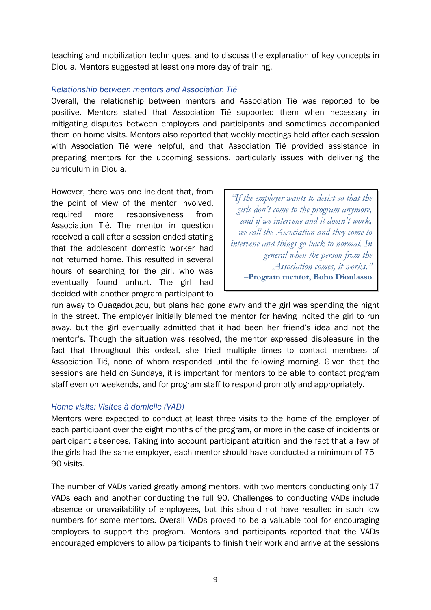teaching and mobilization techniques, and to discuss the explanation of key concepts in Dioula. Mentors suggested at least one more day of training.

#### *Relationship between mentors and Association Tié*

Overall, the relationship between mentors and Association Tié was reported to be positive. Mentors stated that Association Tié supported them when necessary in mitigating disputes between employers and participants and sometimes accompanied them on home visits. Mentors also reported that weekly meetings held after each session with Association Tié were helpful, and that Association Tié provided assistance in preparing mentors for the upcoming sessions, particularly issues with delivering the curriculum in Dioula.

However, there was one incident that, from the point of view of the mentor involved, required more responsiveness from Association Tié. The mentor in question received a call after a session ended stating that the adolescent domestic worker had not returned home. This resulted in several hours of searching for the girl, who was eventually found unhurt. The girl had decided with another program participant to

*"If the employer wants to desist so that the girls don't come to the program anymore, and if we intervene and it doesn't work, we call the Association and they come to intervene and things go back to normal. In general when the person from the Association comes, it works."* **–Program mentor, Bobo Dioulasso**

run away to Ouagadougou, but plans had gone awry and the girl was spending the night in the street. The employer initially blamed the mentor for having incited the girl to run away, but the girl eventually admitted that it had been her friend's idea and not the mentor's. Though the situation was resolved, the mentor expressed displeasure in the fact that throughout this ordeal, she tried multiple times to contact members of Association Tié, none of whom responded until the following morning. Given that the sessions are held on Sundays, it is important for mentors to be able to contact program staff even on weekends, and for program staff to respond promptly and appropriately.

#### *Home visits: Visites à domicile (VAD)*

Mentors were expected to conduct at least three visits to the home of the employer of each participant over the eight months of the program, or more in the case of incidents or participant absences. Taking into account participant attrition and the fact that a few of the girls had the same employer, each mentor should have conducted a minimum of 75– 90 visits.

The number of VADs varied greatly among mentors, with two mentors conducting only 17 VADs each and another conducting the full 90. Challenges to conducting VADs include absence or unavailability of employees, but this should not have resulted in such low numbers for some mentors. Overall VADs proved to be a valuable tool for encouraging employers to support the program. Mentors and participants reported that the VADs encouraged employers to allow participants to finish their work and arrive at the sessions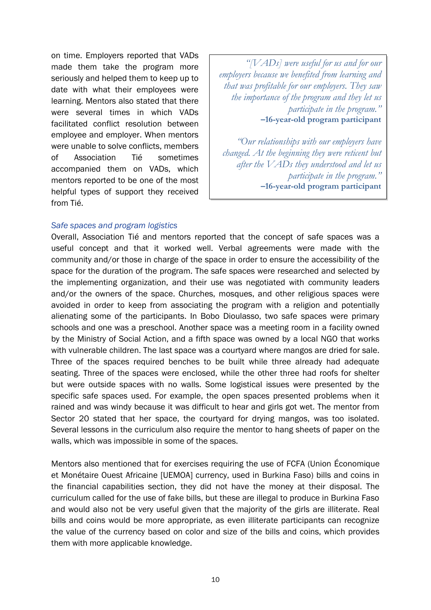on time. Employers reported that VADs made them take the program more seriously and helped them to keep up to date with what their employees were learning. Mentors also stated that there were several times in which VADs facilitated conflict resolution between employee and employer. When mentors were unable to solve conflicts, members of Association Tié sometimes accompanied them on VADs, which mentors reported to be one of the most helpful types of support they received from Tié.

*"[VADs] were useful for us and for our employers because we benefited from learning and that was profitable for our employers. They saw the importance of the program and they let us participate in the program."* **–16-year-old program participant**

*"Our relationships with our employers have changed. At the beginning they were reticent but after the VADs they understood and let us participate in the program."* **–16-year-old program participant**

#### *Safe spaces and program logistics*

Overall, Association Tié and mentors reported that the concept of safe spaces was a useful concept and that it worked well. Verbal agreements were made with the community and/or those in charge of the space in order to ensure the accessibility of the space for the duration of the program. The safe spaces were researched and selected by the implementing organization, and their use was negotiated with community leaders and/or the owners of the space. Churches, mosques, and other religious spaces were avoided in order to keep from associating the program with a religion and potentially alienating some of the participants. In Bobo Dioulasso, two safe spaces were primary schools and one was a preschool. Another space was a meeting room in a facility owned by the Ministry of Social Action, and a fifth space was owned by a local NGO that works with vulnerable children. The last space was a courtyard where mangos are dried for sale. Three of the spaces required benches to be built while three already had adequate seating. Three of the spaces were enclosed, while the other three had roofs for shelter but were outside spaces with no walls. Some logistical issues were presented by the specific safe spaces used. For example, the open spaces presented problems when it rained and was windy because it was difficult to hear and girls got wet. The mentor from Sector 20 stated that her space, the courtyard for drying mangos, was too isolated. Several lessons in the curriculum also require the mentor to hang sheets of paper on the walls, which was impossible in some of the spaces.

Mentors also mentioned that for exercises requiring the use of FCFA (Union Économique et Monétaire Ouest Africaine [UEMOA] currency, used in Burkina Faso) bills and coins in the financial capabilities section, they did not have the money at their disposal. The curriculum called for the use of fake bills, but these are illegal to produce in Burkina Faso and would also not be very useful given that the majority of the girls are illiterate. Real bills and coins would be more appropriate, as even illiterate participants can recognize the value of the currency based on color and size of the bills and coins, which provides them with more applicable knowledge.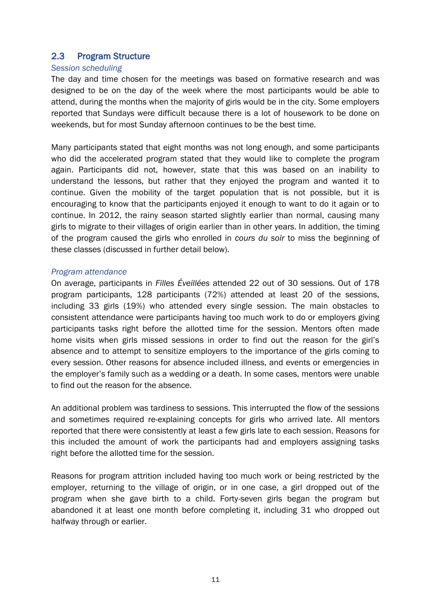### <span id="page-13-0"></span>2.3 Program Structure

#### *Session scheduling*

The day and time chosen for the meetings was based on formative research and was designed to be on the day of the week where the most participants would be able to attend, during the months when the majority of girls would be in the city. Some employers reported that Sundays were difficult because there is a lot of housework to be done on weekends, but for most Sunday afternoon continues to be the best time.

Many participants stated that eight months was not long enough, and some participants who did the accelerated program stated that they would like to complete the program again. Participants did not, however, state that this was based on an inability to understand the lessons, but rather that they enjoyed the program and wanted it to continue. Given the mobility of the target population that is not possible, but it is encouraging to know that the participants enjoyed it enough to want to do it again or to continue. In 2012, the rainy season started slightly earlier than normal, causing many girls to migrate to their villages of origin earlier than in other years. In addition, the timing of the program caused the girls who enrolled in *cours du soir* to miss the beginning of these classes (discussed in further detail below).

#### *Program attendance*

On average, participants in *Filles Éveillées* attended 22 out of 30 sessions. Out of 178 program participants, 128 participants (72%) attended at least 20 of the sessions, including 33 girls (19%) who attended every single session. The main obstacles to consistent attendance were participants having too much work to do or employers giving participants tasks right before the allotted time for the session. Mentors often made home visits when girls missed sessions in order to find out the reason for the girl's absence and to attempt to sensitize employers to the importance of the girls coming to every session. Other reasons for absence included illness, and events or emergencies in the employer's family such as a wedding or a death. In some cases, mentors were unable to find out the reason for the absence.

An additional problem was tardiness to sessions. This interrupted the flow of the sessions and sometimes required re-explaining concepts for girls who arrived late. All mentors reported that there were consistently at least a few girls late to each session. Reasons for this included the amount of work the participants had and employers assigning tasks right before the allotted time for the session.

Reasons for program attrition included having too much work or being restricted by the employer, returning to the village of origin, or in one case, a girl dropped out of the program when she gave birth to a child. Forty-seven girls began the program but abandoned it at least one month before completing it, including 31 who dropped out halfway through or earlier.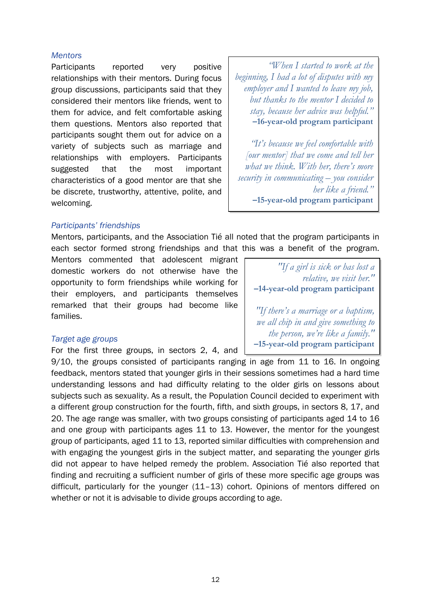#### *Mentors*

Participants reported very positive relationships with their mentors. During focus group discussions, participants said that they considered their mentors like friends, went to them for advice, and felt comfortable asking them questions. Mentors also reported that participants sought them out for advice on a variety of subjects such as marriage and relationships with employers. Participants suggested that the most important characteristics of a good mentor are that she be discrete, trustworthy, attentive, polite, and welcoming.

*"When I started to work at the beginning, I had a lot of disputes with my employer and I wanted to leave my job, but thanks to the mentor I decided to stay, because her advice was helpful."* **–16-year-old program participant**

*"It's because we feel comfortable with [our mentor] that we come and tell her what we think. With her, there's more security in communicating – you consider her like a friend."* **–15-year-old program participant**

#### *Participants' friendships*

Mentors, participants, and the Association Tié all noted that the program participants in each sector formed strong friendships and that this was a benefit of the program.

Mentors commented that adolescent migrant domestic workers do not otherwise have the opportunity to form friendships while working for their employers, and participants themselves remarked that their groups had become like families.

*"If a girl is sick or has lost a relative, we visit her."* **–14-year-old program participant**

*"If there's a marriage or a baptism, we all chip in and give something to the person, we're like a family."* **–15-year-old program participant**

#### *Target age groups*

For the first three groups, in sectors 2, 4, and

9/10, the groups consisted of participants ranging in age from 11 to 16. In ongoing feedback, mentors stated that younger girls in their sessions sometimes had a hard time understanding lessons and had difficulty relating to the older girls on lessons about subjects such as sexuality. As a result, the Population Council decided to experiment with a different group construction for the fourth, fifth, and sixth groups, in sectors 8, 17, and 20. The age range was smaller, with two groups consisting of participants aged 14 to 16 and one group with participants ages 11 to 13. However, the mentor for the youngest group of participants, aged 11 to 13, reported similar difficulties with comprehension and with engaging the youngest girls in the subject matter, and separating the younger girls did not appear to have helped remedy the problem. Association Tié also reported that finding and recruiting a sufficient number of girls of these more specific age groups was difficult, particularly for the younger (11–13) cohort. Opinions of mentors differed on whether or not it is advisable to divide groups according to age.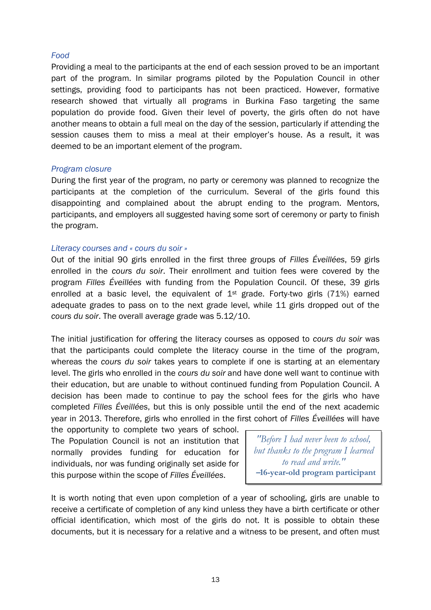#### *Food*

Providing a meal to the participants at the end of each session proved to be an important part of the program. In similar programs piloted by the Population Council in other settings, providing food to participants has not been practiced. However, formative research showed that virtually all programs in Burkina Faso targeting the same population do provide food. Given their level of poverty, the girls often do not have another means to obtain a full meal on the day of the session, particularly if attending the session causes them to miss a meal at their employer's house. As a result, it was deemed to be an important element of the program.

#### *Program closure*

During the first year of the program, no party or ceremony was planned to recognize the participants at the completion of the curriculum. Several of the girls found this disappointing and complained about the abrupt ending to the program. Mentors, participants, and employers all suggested having some sort of ceremony or party to finish the program.

#### *Literacy courses and « cours du soir »*

Out of the initial 90 girls enrolled in the first three groups of *Filles Éveillées*, 59 girls enrolled in the *cours du soir*. Their enrollment and tuition fees were covered by the program *Filles Éveillées* with funding from the Population Council. Of these, 39 girls enrolled at a basic level, the equivalent of  $1<sup>st</sup>$  grade. Forty-two girls (71%) earned adequate grades to pass on to the next grade level, while 11 girls dropped out of the *cours du soir*. The overall average grade was 5.12/10.

The initial justification for offering the literacy courses as opposed to *cours du soir* was that the participants could complete the literacy course in the time of the program, whereas the *cours du soir* takes years to complete if one is starting at an elementary level. The girls who enrolled in the *cours du soir* and have done well want to continue with their education, but are unable to without continued funding from Population Council. A decision has been made to continue to pay the school fees for the girls who have completed *Filles Éveillées*, but this is only possible until the end of the next academic year in 2013. Therefore, girls who enrolled in the first cohort of *Filles Éveillées* will have

the opportunity to complete two years of school. The Population Council is not an institution that normally provides funding for education for individuals, nor was funding originally set aside for this purpose within the scope of *Filles Éveillées*.

*"Before I had never been to school, but thanks to the program I learned to read and write."* **–16-year-old program participant** 

It is worth noting that even upon completion of a year of schooling, girls are unable to receive a certificate of completion of any kind unless they have a birth certificate or other official identification, which most of the girls do not. It is possible to obtain these documents, but it is necessary for a relative and a witness to be present, and often must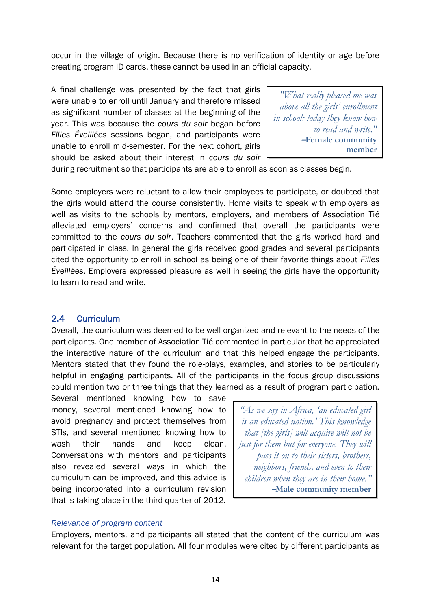occur in the village of origin. Because there is no verification of identity or age before creating program ID cards, these cannot be used in an official capacity.

A final challenge was presented by the fact that girls were unable to enroll until January and therefore missed as significant number of classes at the beginning of the year. This was because the *cours du soir* began before *Filles Éveillées* sessions began, and participants were unable to enroll mid-semester. For the next cohort, girls should be asked about their interest in *cours du soir*

*"What really pleased me was above all the girls' enrollment in school; today they know how to read and write."* **–Female community member**

during recruitment so that participants are able to enroll as soon as classes begin.

Some employers were reluctant to allow their employees to participate, or doubted that the girls would attend the course consistently. Home visits to speak with employers as well as visits to the schools by mentors, employers, and members of Association Tié alleviated employers' concerns and confirmed that overall the participants were committed to the *cours du soir*. Teachers commented that the girls worked hard and participated in class. In general the girls received good grades and several participants cited the opportunity to enroll in school as being one of their favorite things about *Filles Éveillées*. Employers expressed pleasure as well in seeing the girls have the opportunity to learn to read and write.

#### <span id="page-16-0"></span>2.4 Curriculum

Overall, the curriculum was deemed to be well-organized and relevant to the needs of the participants. One member of Association Tié commented in particular that he appreciated the interactive nature of the curriculum and that this helped engage the participants. Mentors stated that they found the role-plays, examples, and stories to be particularly helpful in engaging participants. All of the participants in the focus group discussions could mention two or three things that they learned as a result of program participation.

Several mentioned knowing how to save money, several mentioned knowing how to avoid pregnancy and protect themselves from STIs, and several mentioned knowing how to wash their hands and keep clean. Conversations with mentors and participants also revealed several ways in which the curriculum can be improved, and this advice is being incorporated into a curriculum revision that is taking place in the third quarter of 2012.

*"As we say in Africa, 'an educated girl is an educated nation.' This knowledge that [the girls] will acquire will not be just for them but for everyone. They will pass it on to their sisters, brothers, neighbors, friends, and even to their children when they are in their home."* **–Male community member**

#### *Relevance of program content*

Employers, mentors, and participants all stated that the content of the curriculum was relevant for the target population. All four modules were cited by different participants as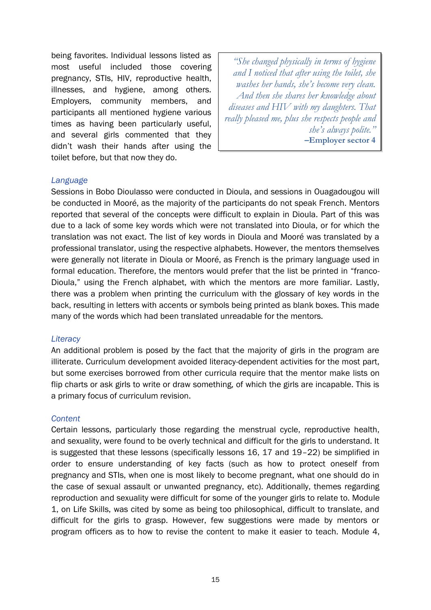being favorites. Individual lessons listed as most useful included those covering pregnancy, STIs, HIV, reproductive health, illnesses, and hygiene, among others. Employers, community members, and participants all mentioned hygiene various times as having been particularly useful, and several girls commented that they didn't wash their hands after using the toilet before, but that now they do.

*"She changed physically in terms of hygiene and I noticed that after using the toilet, she washes her hands, she's become very clean. And then she shares her knowledge about diseases and HIV with my daughters. That really pleased me, plus she respects people and she's always polite."* **–Employer sector 4**

#### *Language*

Sessions in Bobo Dioulasso were conducted in Dioula, and sessions in Ouagadougou will be conducted in Mooré, as the majority of the participants do not speak French. Mentors reported that several of the concepts were difficult to explain in Dioula. Part of this was due to a lack of some key words which were not translated into Dioula, or for which the translation was not exact. The list of key words in Dioula and Mooré was translated by a professional translator, using the respective alphabets. However, the mentors themselves were generally not literate in Dioula or Mooré, as French is the primary language used in formal education. Therefore, the mentors would prefer that the list be printed in "franco-Dioula," using the French alphabet, with which the mentors are more familiar. Lastly, there was a problem when printing the curriculum with the glossary of key words in the back, resulting in letters with accents or symbols being printed as blank boxes. This made many of the words which had been translated unreadable for the mentors.

#### *Literacy*

An additional problem is posed by the fact that the majority of girls in the program are illiterate. Curriculum development avoided literacy-dependent activities for the most part, but some exercises borrowed from other curricula require that the mentor make lists on flip charts or ask girls to write or draw something, of which the girls are incapable. This is a primary focus of curriculum revision.

#### *Content*

Certain lessons, particularly those regarding the menstrual cycle, reproductive health, and sexuality, were found to be overly technical and difficult for the girls to understand. It is suggested that these lessons (specifically lessons 16, 17 and 19–22) be simplified in order to ensure understanding of key facts (such as how to protect oneself from pregnancy and STIs, when one is most likely to become pregnant, what one should do in the case of sexual assault or unwanted pregnancy, etc). Additionally, themes regarding reproduction and sexuality were difficult for some of the younger girls to relate to. Module 1, on Life Skills, was cited by some as being too philosophical, difficult to translate, and difficult for the girls to grasp. However, few suggestions were made by mentors or program officers as to how to revise the content to make it easier to teach. Module 4,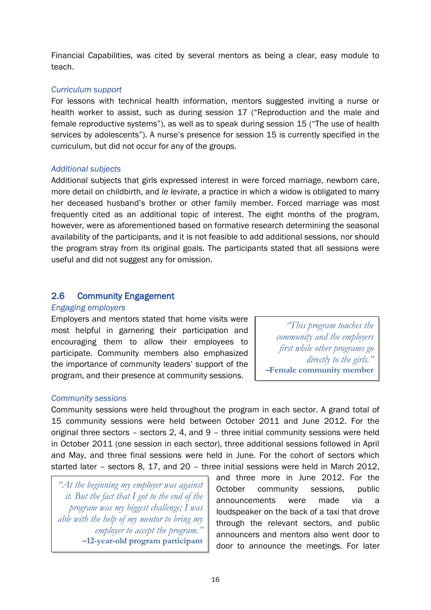Financial Capabilities, was cited by several mentors as being a clear, easy module to teach.

### *Curriculum support*

For lessons with technical health information, mentors suggested inviting a nurse or health worker to assist, such as during session 17 ("Reproduction and the male and female reproductive systems"), as well as to speak during session 15 ("The use of health services by adolescents"). A nurse's presence for session 15 is currently specified in the curriculum, but did not occur for any of the groups.

#### *Additional subjects*

Additional subjects that girls expressed interest in were forced marriage, newborn care, more detail on childbirth, and *le levirate*, a practice in which a widow is obligated to marry her deceased husband's brother or other family member. Forced marriage was most frequently cited as an additional topic of interest. The eight months of the program, however, were as aforementioned based on formative research determining the seasonal availability of the participants, and it is not feasible to add additional sessions, nor should the program stray from its original goals. The participants stated that all sessions were useful and did not suggest any for omission.

### <span id="page-18-0"></span>2.6 Community Engagement

#### *Engaging employers*

Employers and mentors stated that home visits were most helpful in garnering their participation and encouraging them to allow their employees to participate. Community members also emphasized the importance of community leaders' support of the program, and their presence at community sessions.

*"This program touches the community and the employers first while other programs go directly to the girls."* **–Female community member**

### *Community sessions*

Community sessions were held throughout the program in each sector. A grand total of 15 community sessions were held between October 2011 and June 2012. For the original three sectors – sectors 2, 4, and 9 – three initial community sessions were held in October 2011 (one session in each sector), three additional sessions followed in April and May, and three final sessions were held in June. For the cohort of sectors which started later – sectors 8, 17, and 20 – three initial sessions were held in March 2012,

*"At the beginning my employer was against it. But the fact that I got to the end of the program was my biggest challenge; I was able with the help of my mentor to bring my employer to accept the program."* **–12-year-old program participant**

and three more in June 2012. For the October community sessions, public announcements were made via a loudspeaker on the back of a taxi that drove through the relevant sectors, and public announcers and mentors also went door to door to announce the meetings. For later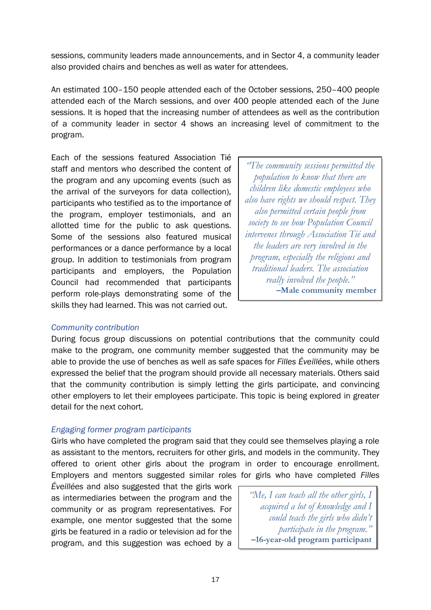sessions, community leaders made announcements, and in Sector 4, a community leader also provided chairs and benches as well as water for attendees.

An estimated 100–150 people attended each of the October sessions, 250–400 people attended each of the March sessions, and over 400 people attended each of the June sessions. It is hoped that the increasing number of attendees as well as the contribution of a community leader in sector 4 shows an increasing level of commitment to the program.

Each of the sessions featured Association Tié staff and mentors who described the content of the program and any upcoming events (such as the arrival of the surveyors for data collection), participants who testified as to the importance of the program, employer testimonials, and an allotted time for the public to ask questions. Some of the sessions also featured musical performances or a dance performance by a local group. In addition to testimonials from program participants and employers, the Population Council had recommended that participants perform role-plays demonstrating some of the skills they had learned. This was not carried out.

*"The community sessions permitted the population to know that there are children like domestic employees who also have rights we should respect. They also permitted certain people from society to see how Population Council intervenes through Association Tié and the leaders are very involved in the program, especially the religious and traditional leaders. The association really involved the people."* **–Male community member**

### *Community contribution*

During focus group discussions on potential contributions that the community could make to the program, one community member suggested that the community may be able to provide the use of benches as well as safe spaces for *Filles Éveillées*, while others expressed the belief that the program should provide all necessary materials. Others said that the community contribution is simply letting the girls participate, and convincing other employers to let their employees participate. This topic is being explored in greater detail for the next cohort.

#### *Engaging former program participants*

Girls who have completed the program said that they could see themselves playing a role as assistant to the mentors, recruiters for other girls, and models in the community. They offered to orient other girls about the program in order to encourage enrollment. Employers and mentors suggested similar roles for girls who have completed *Filles* 

*Éveillées* and also suggested that the girls work as intermediaries between the program and the community or as program representatives. For example, one mentor suggested that the some girls be featured in a radio or television ad for the program, and this suggestion was echoed by a

*"Me, I can teach all the other girls, I acquired a lot of knowledge and I could teach the girls who didn't participate in the program."* **–16-year-old program participant**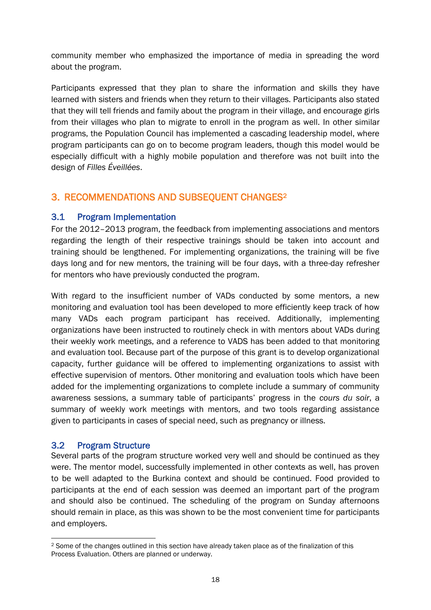community member who emphasized the importance of media in spreading the word about the program.

Participants expressed that they plan to share the information and skills they have learned with sisters and friends when they return to their villages. Participants also stated that they will tell friends and family about the program in their village, and encourage girls from their villages who plan to migrate to enroll in the program as well. In other similar programs, the Population Council has implemented a cascading leadership model, where program participants can go on to become program leaders, though this model would be especially difficult with a highly mobile population and therefore was not built into the design of *Filles Éveillées*.

# <span id="page-20-0"></span>3. RECOMMENDATIONS AND SUBSEQUENT CHANGES<sup>2</sup>

### <span id="page-20-1"></span>3.1 Program Implementation

For the 2012–2013 program, the feedback from implementing associations and mentors regarding the length of their respective trainings should be taken into account and training should be lengthened. For implementing organizations, the training will be five days long and for new mentors, the training will be four days, with a three-day refresher for mentors who have previously conducted the program.

With regard to the insufficient number of VADs conducted by some mentors, a new monitoring and evaluation tool has been developed to more efficiently keep track of how many VADs each program participant has received. Additionally, implementing organizations have been instructed to routinely check in with mentors about VADs during their weekly work meetings, and a reference to VADS has been added to that monitoring and evaluation tool. Because part of the purpose of this grant is to develop organizational capacity, further guidance will be offered to implementing organizations to assist with effective supervision of mentors. Other monitoring and evaluation tools which have been added for the implementing organizations to complete include a summary of community awareness sessions, a summary table of participants' progress in the *cours du soir*, a summary of weekly work meetings with mentors, and two tools regarding assistance given to participants in cases of special need, such as pregnancy or illness.

### <span id="page-20-2"></span>3.2 Program Structure

Several parts of the program structure worked very well and should be continued as they were. The mentor model, successfully implemented in other contexts as well, has proven to be well adapted to the Burkina context and should be continued. Food provided to participants at the end of each session was deemed an important part of the program and should also be continued. The scheduling of the program on Sunday afternoons should remain in place, as this was shown to be the most convenient time for participants and employers.

<sup>1</sup> <sup>2</sup> Some of the changes outlined in this section have already taken place as of the finalization of this Process Evaluation. Others are planned or underway.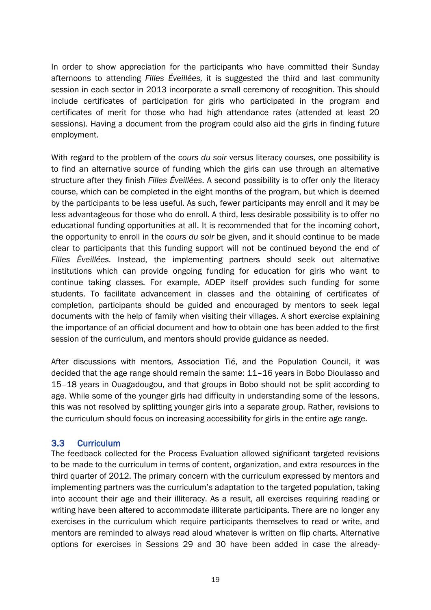In order to show appreciation for the participants who have committed their Sunday afternoons to attending *Filles Éveillées,* it is suggested the third and last community session in each sector in 2013 incorporate a small ceremony of recognition. This should include certificates of participation for girls who participated in the program and certificates of merit for those who had high attendance rates (attended at least 20 sessions). Having a document from the program could also aid the girls in finding future employment.

With regard to the problem of the *cours du soir* versus literacy courses, one possibility is to find an alternative source of funding which the girls can use through an alternative structure after they finish *Filles Éveillées*. A second possibility is to offer only the literacy course, which can be completed in the eight months of the program, but which is deemed by the participants to be less useful. As such, fewer participants may enroll and it may be less advantageous for those who do enroll. A third, less desirable possibility is to offer no educational funding opportunities at all. It is recommended that for the incoming cohort, the opportunity to enroll in the *cours du soir* be given, and it should continue to be made clear to participants that this funding support will not be continued beyond the end of *Filles Éveillées.* Instead, the implementing partners should seek out alternative institutions which can provide ongoing funding for education for girls who want to continue taking classes. For example, ADEP itself provides such funding for some students. To facilitate advancement in classes and the obtaining of certificates of completion, participants should be guided and encouraged by mentors to seek legal documents with the help of family when visiting their villages. A short exercise explaining the importance of an official document and how to obtain one has been added to the first session of the curriculum, and mentors should provide guidance as needed.

After discussions with mentors, Association Tié, and the Population Council, it was decided that the age range should remain the same: 11–16 years in Bobo Dioulasso and 15–18 years in Ouagadougou, and that groups in Bobo should not be split according to age. While some of the younger girls had difficulty in understanding some of the lessons, this was not resolved by splitting younger girls into a separate group. Rather, revisions to the curriculum should focus on increasing accessibility for girls in the entire age range.

### <span id="page-21-0"></span>3.3 Curriculum

The feedback collected for the Process Evaluation allowed significant targeted revisions to be made to the curriculum in terms of content, organization, and extra resources in the third quarter of 2012. The primary concern with the curriculum expressed by mentors and implementing partners was the curriculum's adaptation to the targeted population, taking into account their age and their illiteracy. As a result, all exercises requiring reading or writing have been altered to accommodate illiterate participants. There are no longer any exercises in the curriculum which require participants themselves to read or write, and mentors are reminded to always read aloud whatever is written on flip charts. Alternative options for exercises in Sessions 29 and 30 have been added in case the already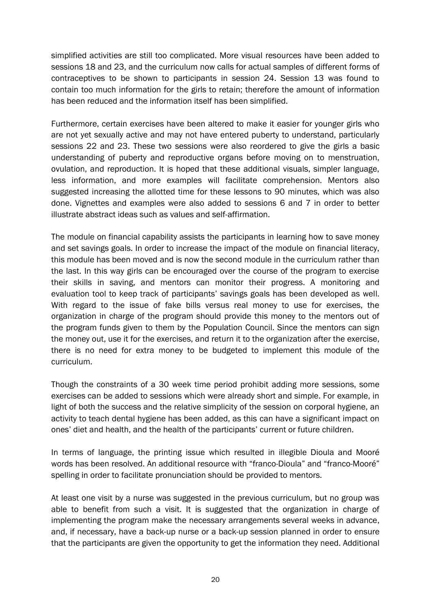simplified activities are still too complicated. More visual resources have been added to sessions 18 and 23, and the curriculum now calls for actual samples of different forms of contraceptives to be shown to participants in session 24. Session 13 was found to contain too much information for the girls to retain; therefore the amount of information has been reduced and the information itself has been simplified.

Furthermore, certain exercises have been altered to make it easier for younger girls who are not yet sexually active and may not have entered puberty to understand, particularly sessions 22 and 23. These two sessions were also reordered to give the girls a basic understanding of puberty and reproductive organs before moving on to menstruation, ovulation, and reproduction. It is hoped that these additional visuals, simpler language, less information, and more examples will facilitate comprehension. Mentors also suggested increasing the allotted time for these lessons to 90 minutes, which was also done. Vignettes and examples were also added to sessions 6 and 7 in order to better illustrate abstract ideas such as values and self-affirmation.

The module on financial capability assists the participants in learning how to save money and set savings goals. In order to increase the impact of the module on financial literacy, this module has been moved and is now the second module in the curriculum rather than the last. In this way girls can be encouraged over the course of the program to exercise their skills in saving, and mentors can monitor their progress. A monitoring and evaluation tool to keep track of participants' savings goals has been developed as well. With regard to the issue of fake bills versus real money to use for exercises, the organization in charge of the program should provide this money to the mentors out of the program funds given to them by the Population Council. Since the mentors can sign the money out, use it for the exercises, and return it to the organization after the exercise, there is no need for extra money to be budgeted to implement this module of the curriculum.

Though the constraints of a 30 week time period prohibit adding more sessions, some exercises can be added to sessions which were already short and simple. For example, in light of both the success and the relative simplicity of the session on corporal hygiene, an activity to teach dental hygiene has been added, as this can have a significant impact on ones' diet and health, and the health of the participants' current or future children.

In terms of language, the printing issue which resulted in illegible Dioula and Mooré words has been resolved. An additional resource with "franco-Dioula" and "franco-Mooré" spelling in order to facilitate pronunciation should be provided to mentors.

At least one visit by a nurse was suggested in the previous curriculum, but no group was able to benefit from such a visit. It is suggested that the organization in charge of implementing the program make the necessary arrangements several weeks in advance, and, if necessary, have a back-up nurse or a back-up session planned in order to ensure that the participants are given the opportunity to get the information they need. Additional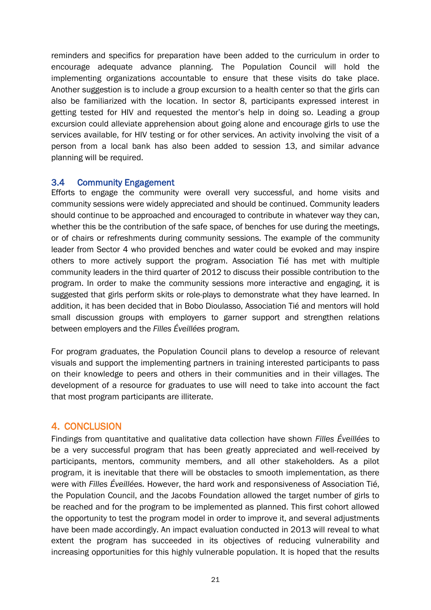reminders and specifics for preparation have been added to the curriculum in order to encourage adequate advance planning. The Population Council will hold the implementing organizations accountable to ensure that these visits do take place. Another suggestion is to include a group excursion to a health center so that the girls can also be familiarized with the location. In sector 8, participants expressed interest in getting tested for HIV and requested the mentor's help in doing so. Leading a group excursion could alleviate apprehension about going alone and encourage girls to use the services available, for HIV testing or for other services. An activity involving the visit of a person from a local bank has also been added to session 13, and similar advance planning will be required.

### <span id="page-23-0"></span>3.4 Community Engagement

Efforts to engage the community were overall very successful, and home visits and community sessions were widely appreciated and should be continued. Community leaders should continue to be approached and encouraged to contribute in whatever way they can, whether this be the contribution of the safe space, of benches for use during the meetings, or of chairs or refreshments during community sessions. The example of the community leader from Sector 4 who provided benches and water could be evoked and may inspire others to more actively support the program. Association Tié has met with multiple community leaders in the third quarter of 2012 to discuss their possible contribution to the program. In order to make the community sessions more interactive and engaging, it is suggested that girls perform skits or role-plays to demonstrate what they have learned. In addition, it has been decided that in Bobo Dioulasso, Association Tié and mentors will hold small discussion groups with employers to garner support and strengthen relations between employers and the *Filles Éveillées* program*.*

For program graduates, the Population Council plans to develop a resource of relevant visuals and support the implementing partners in training interested participants to pass on their knowledge to peers and others in their communities and in their villages. The development of a resource for graduates to use will need to take into account the fact that most program participants are illiterate.

# <span id="page-23-1"></span>4. CONCLUSION

Findings from quantitative and qualitative data collection have shown *Filles Éveillées* to be a very successful program that has been greatly appreciated and well-received by participants, mentors, community members, and all other stakeholders. As a pilot program, it is inevitable that there will be obstacles to smooth implementation, as there were with *Filles Éveillées.* However, the hard work and responsiveness of Association Tié, the Population Council, and the Jacobs Foundation allowed the target number of girls to be reached and for the program to be implemented as planned. This first cohort allowed the opportunity to test the program model in order to improve it, and several adjustments have been made accordingly. An impact evaluation conducted in 2013 will reveal to what extent the program has succeeded in its objectives of reducing vulnerability and increasing opportunities for this highly vulnerable population. It is hoped that the results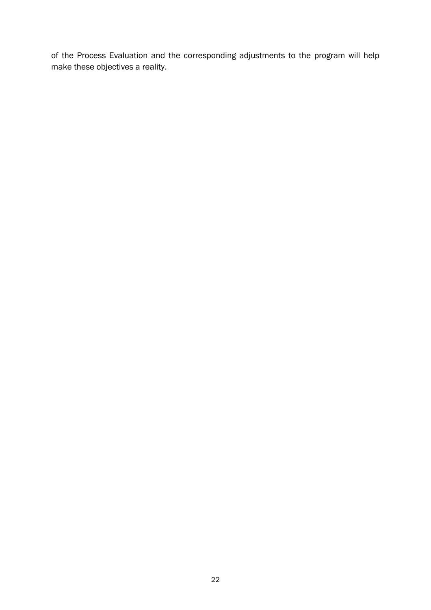of the Process Evaluation and the corresponding adjustments to the program will help make these objectives a reality.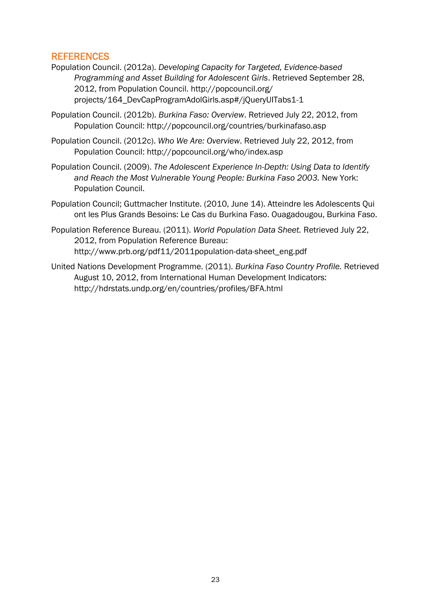## <span id="page-25-0"></span>**REFERENCES**

- Population Council. (2012a). *Developing Capacity for Targeted, Evidence-based Programming and Asset Building for Adolescent Girls*. Retrieved September 28, 2012, from Population Council. http://popcouncil.org/ projects/164\_DevCapProgramAdolGirls.asp#/jQueryUITabs1-1
- Population Council. (2012b). *Burkina Faso: Overview*. Retrieved July 22, 2012, from Population Council: http://popcouncil.org/countries/burkinafaso.asp
- Population Council. (2012c). *Who We Are: Overview*. Retrieved July 22, 2012, from Population Council: http://popcouncil.org/who/index.asp
- Population Council. (2009). *The Adolescent Experience In-Depth: Using Data to Identify and Reach the Most Vulnerable Young People: Burkina Faso 2003.* New York: Population Council.
- Population Council; Guttmacher Institute. (2010, June 14). Atteindre les Adolescents Qui ont les Plus Grands Besoins: Le Cas du Burkina Faso. Ouagadougou, Burkina Faso.
- Population Reference Bureau. (2011). *World Population Data Sheet.* Retrieved July 22, 2012, from Population Reference Bureau: http://www.prb.org/pdf11/2011population-data-sheet\_eng.pdf
- United Nations Development Programme. (2011). *Burkina Faso Country Profile.* Retrieved August 10, 2012, from International Human Development Indicators: http://hdrstats.undp.org/en/countries/profiles/BFA.html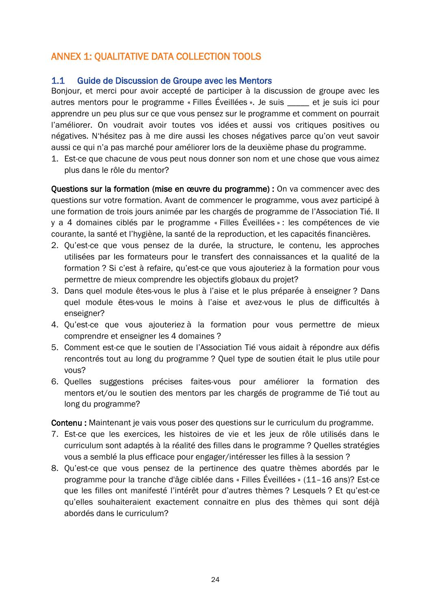# <span id="page-26-1"></span><span id="page-26-0"></span>ANNEX 1: QUALITATIVE DATA COLLECTION TOOLS

### 1.1 Guide de Discussion de Groupe avec les Mentor*s*

Bonjour, et merci pour avoir accepté de participer à la discussion de groupe avec les autres mentors pour le programme « Filles Éveillées ». Je suis \_\_\_\_\_ et je suis ici pour apprendre un peu plus sur ce que vous pensez sur le programme et comment on pourrait l'améliorer. On voudrait avoir toutes vos idées et aussi vos critiques positives ou négatives. N'hésitez pas à me dire aussi les choses négatives parce qu'on veut savoir aussi ce qui n'a pas marché pour améliorer lors de la deuxième phase du programme.

1. Est-ce que chacune de vous peut nous donner son nom et une chose que vous aimez plus dans le rôle du mentor?

Questions sur la formation (mise en œuvre du programme) : On va commencer avec des questions sur votre formation. Avant de commencer le programme, vous avez participé à une formation de trois jours animée par les chargés de programme de l'Association Tié. Il y a 4 domaines ciblés par le programme « Filles Éveillées » : les compétences de vie courante, la santé et l'hygiène, la santé de la reproduction, et les capacités financières.

- 2. Qu'est-ce que vous pensez de la durée, la structure, le contenu, les approches utilisées par les formateurs pour le transfert des connaissances et la qualité de la formation ? Si c'est à refaire, qu'est-ce que vous ajouteriez à la formation pour vous permettre de mieux comprendre les objectifs globaux du projet?
- 3. Dans quel module êtes-vous le plus à l'aise et le plus préparée à enseigner ? Dans quel module êtes-vous le moins à l'aise et avez-vous le plus de difficultés à enseigner?
- 4. Qu'est-ce que vous ajouteriez à la formation pour vous permettre de mieux comprendre et enseigner les 4 domaines ?
- 5. Comment est-ce que le soutien de l'Association Tié vous aidait à répondre aux défis rencontrés tout au long du programme ? Quel type de soutien était le plus utile pour vous?
- 6. Quelles suggestions précises faites-vous pour améliorer la formation des mentors et/ou le soutien des mentors par les chargés de programme de Tié tout au long du programme?

Contenu : Maintenant je vais vous poser des questions sur le curriculum du programme.

- 7. Est-ce que les exercices, les histoires de vie et les jeux de rôle utilisés dans le curriculum sont adaptés à la réalité des filles dans le programme ? Quelles stratégies vous a semblé la plus efficace pour engager/intéresser les filles à la session ?
- 8. Qu'est-ce que vous pensez de la pertinence des quatre thèmes abordés par le programme pour la tranche d'âge ciblée dans « Filles Éveillées » (11–16 ans)? Est-ce que les filles ont manifesté l'intérêt pour d'autres thèmes ? Lesquels ? Et qu'est-ce qu'elles souhaiteraient exactement connaitre en plus des thèmes qui sont déjà abordés dans le curriculum?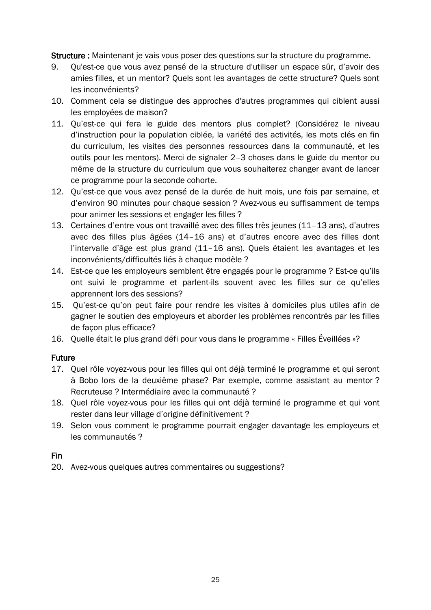Structure : Maintenant je vais vous poser des questions sur la structure du programme.

- 9. Qu'est-ce que vous avez pensé de la structure d'utiliser un espace sûr, d'avoir des amies filles, et un mentor? Quels sont les avantages de cette structure? Quels sont les inconvénients?
- 10. Comment cela se distingue des approches d'autres programmes qui ciblent aussi les employées de maison?
- 11. Qu'est-ce qui fera le guide des mentors plus complet? (Considérez le niveau d'instruction pour la population ciblée, la variété des activités, les mots clés en fin du curriculum, les visites des personnes ressources dans la communauté, et les outils pour les mentors). Merci de signaler 2–3 choses dans le guide du mentor ou même de la structure du curriculum que vous souhaiterez changer avant de lancer ce programme pour la seconde cohorte.
- 12. Qu'est-ce que vous avez pensé de la durée de huit mois, une fois par semaine, et d'environ 90 minutes pour chaque session ? Avez-vous eu suffisamment de temps pour animer les sessions et engager les filles ?
- 13. Certaines d'entre vous ont travaillé avec des filles très jeunes (11–13 ans), d'autres avec des filles plus âgées (14–16 ans) et d'autres encore avec des filles dont l'intervalle d'âge est plus grand (11-16 ans). Quels étaient les avantages et les inconvénients/difficultés liés à chaque modèle ?
- 14. Est-ce que les employeurs semblent être engagés pour le programme ? Est-ce qu'ils ont suivi le programme et parlent-ils souvent avec les filles sur ce qu'elles apprennent lors des sessions?
- 15. Qu'est-ce qu'on peut faire pour rendre les visites à domiciles plus utiles afin de gagner le soutien des employeurs et aborder les problèmes rencontrés par les filles de façon plus efficace?
- 16. Quelle était le plus grand défi pour vous dans le programme « Filles Éveillées »?

### Future

- 17. Quel rôle voyez-vous pour les filles qui ont déjà terminé le programme et qui seront à Bobo lors de la deuxième phase? Par exemple, comme assistant au mentor ? Recruteuse ? Intermédiaire avec la communauté ?
- 18. Quel rôle voyez-vous pour les filles qui ont déjà terminé le programme et qui vont rester dans leur village d'origine définitivement ?
- 19. Selon vous comment le programme pourrait engager davantage les employeurs et les communautés ?

### Fin

20. Avez-vous quelques autres commentaires ou suggestions?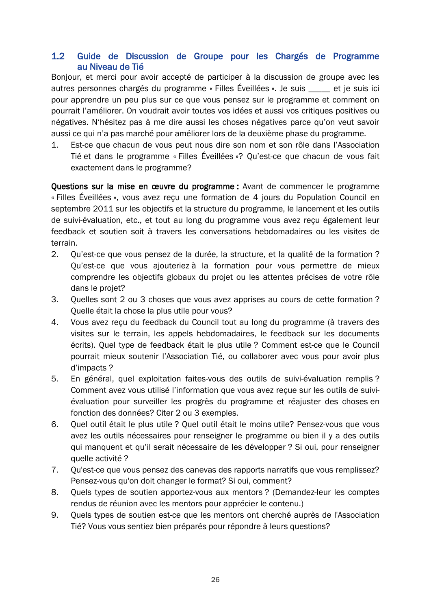### <span id="page-28-0"></span>1.2 Guide de Discussion de Groupe pour les Chargés de Programme au Niveau de Tié

Bonjour, et merci pour avoir accepté de participer à la discussion de groupe avec les autres personnes chargés du programme « Filles Éveillées ». Je suis \_\_\_\_\_ et je suis ici pour apprendre un peu plus sur ce que vous pensez sur le programme et comment on pourrait l'améliorer. On voudrait avoir toutes vos idées et aussi vos critiques positives ou négatives. N'hésitez pas à me dire aussi les choses négatives parce qu'on veut savoir aussi ce qui n'a pas marché pour améliorer lors de la deuxième phase du programme.

1. Est-ce que chacun de vous peut nous dire son nom et son rôle dans l'Association Tié et dans le programme « Filles Éveillées »? Qu'est-ce que chacun de vous fait exactement dans le programme?

Questions sur la mise en œuvre du programme : Avant de commencer le programme « Filles Éveillées », vous avez reçu une formation de 4 jours du Population Council en septembre 2011 sur les objectifs et la structure du programme, le lancement et les outils de suivi-évaluation, etc., et tout au long du programme vous avez reçu également leur feedback et soutien soit à travers les conversations hebdomadaires ou les visites de terrain.

- 2. Qu'est-ce que vous pensez de la durée, la structure, et la qualité de la formation ? Qu'est-ce que vous ajouteriez à la formation pour vous permettre de mieux comprendre les objectifs globaux du projet ou les attentes précises de votre rôle dans le projet?
- 3. Quelles sont 2 ou 3 choses que vous avez apprises au cours de cette formation ? Quelle était la chose la plus utile pour vous?
- 4. Vous avez reçu du feedback du Council tout au long du programme (à travers des visites sur le terrain, les appels hebdomadaires, le feedback sur les documents écrits). Quel type de feedback était le plus utile ? Comment est-ce que le Council pourrait mieux soutenir l'Association Tié, ou collaborer avec vous pour avoir plus d'impacts ?
- 5. En général, quel exploitation faites-vous des outils de suivi-évaluation remplis ? Comment avez vous utilisé l'information que vous avez reçue sur les outils de suiviévaluation pour surveiller les progrès du programme et réajuster des choses en fonction des données? Citer 2 ou 3 exemples.
- 6. Quel outil était le plus utile ? Quel outil était le moins utile? Pensez-vous que vous avez les outils nécessaires pour renseigner le programme ou bien il y a des outils qui manquent et qu'il serait nécessaire de les développer ? Si oui, pour renseigner quelle activité ?
- 7. Qu'est-ce que vous pensez des canevas des rapports narratifs que vous remplissez? Pensez-vous qu'on doit changer le format? Si oui, comment?
- 8. Quels types de soutien apportez-vous aux mentors ? (Demandez-leur les comptes rendus de réunion avec les mentors pour apprécier le contenu.)
- 9. Quels types de soutien est-ce que les mentors ont cherché auprès de l'Association Tié? Vous vous sentiez bien préparés pour répondre à leurs questions?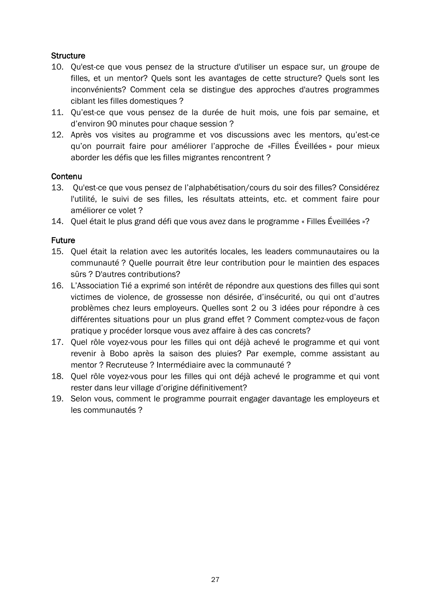### **Structure**

- 10. Qu'est-ce que vous pensez de la structure d'utiliser un espace sur, un groupe de filles, et un mentor? Quels sont les avantages de cette structure? Quels sont les inconvénients? Comment cela se distingue des approches d'autres programmes ciblant les filles domestiques ?
- 11. Qu'est-ce que vous pensez de la durée de huit mois, une fois par semaine, et d'environ 90 minutes pour chaque session ?
- 12. Après vos visites au programme et vos discussions avec les mentors, qu'est-ce qu'on pourrait faire pour améliorer l'approche de «Filles Éveillées » pour mieux aborder les défis que les filles migrantes rencontrent ?

### **Contenu**

- 13. Qu'est-ce que vous pensez de l'alphabétisation/cours du soir des filles? Considérez l'utilité, le suivi de ses filles, les résultats atteints, etc. et comment faire pour améliorer ce volet ?
- 14. Quel était le plus grand défi que vous avez dans le programme « Filles Éveillées »?

### Future

- 15. Quel était la relation avec les autorités locales, les leaders communautaires ou la communauté ? Quelle pourrait être leur contribution pour le maintien des espaces sûrs ? D'autres contributions?
- 16. L'Association Tié a exprimé son intérêt de répondre aux questions des filles qui sont victimes de violence, de grossesse non désirée, d'insécurité, ou qui ont d'autres problèmes chez leurs employeurs. Quelles sont 2 ou 3 idées pour répondre à ces différentes situations pour un plus grand effet ? Comment comptez-vous de façon pratique y procéder lorsque vous avez affaire à des cas concrets?
- 17. Quel rôle voyez-vous pour les filles qui ont déjà achevé le programme et qui vont revenir à Bobo après la saison des pluies? Par exemple, comme assistant au mentor ? Recruteuse ? Intermédiaire avec la communauté ?
- 18. Quel rôle voyez-vous pour les filles qui ont déjà achevé le programme et qui vont rester dans leur village d'origine définitivement?
- 19. Selon vous, comment le programme pourrait engager davantage les employeurs et les communautés ?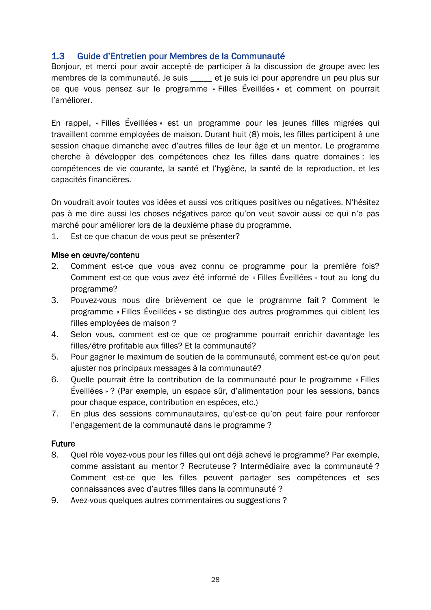### <span id="page-30-0"></span>1.3 Guide d'Entretien pour Membres de la Communauté

Bonjour, et merci pour avoir accepté de participer à la discussion de groupe avec les membres de la communauté. Je suis \_\_\_\_\_ et je suis ici pour apprendre un peu plus sur ce que vous pensez sur le programme « Filles Éveillées » et comment on pourrait l'améliorer.

En rappel, « Filles Éveillées » est un programme pour les jeunes filles migrées qui travaillent comme employées de maison. Durant huit (8) mois, les filles participent à une session chaque dimanche avec d'autres filles de leur âge et un mentor. Le programme cherche à développer des compétences chez les filles dans quatre domaines : les compétences de vie courante, la santé et l'hygiène, la santé de la reproduction, et les capacités financières.

On voudrait avoir toutes vos idées et aussi vos critiques positives ou négatives. N'hésitez pas à me dire aussi les choses négatives parce qu'on veut savoir aussi ce qui n'a pas marché pour améliorer lors de la deuxième phase du programme.

1. Est-ce que chacun de vous peut se présenter?

#### Mise en œuvre/contenu

- 2. Comment est-ce que vous avez connu ce programme pour la première fois? Comment est-ce que vous avez été informé de « Filles Éveillées » tout au long du programme?
- 3. Pouvez-vous nous dire brièvement ce que le programme fait ? Comment le programme « Filles Éveillées » se distingue des autres programmes qui ciblent les filles employées de maison ?
- 4. Selon vous, comment est-ce que ce programme pourrait enrichir davantage les filles/être profitable aux filles? Et la communauté?
- 5. Pour gagner le maximum de soutien de la communauté, comment est-ce qu'on peut ajuster nos principaux messages à la communauté?
- 6. Quelle pourrait être la contribution de la communauté pour le programme « Filles Éveillées » ? (Par exemple, un espace sûr, d'alimentation pour les sessions, bancs pour chaque espace, contribution en espèces, etc.)
- 7. En plus des sessions communautaires, qu'est-ce qu'on peut faire pour renforcer l'engagement de la communauté dans le programme ?

### Future

- 8. Quel rôle voyez-vous pour les filles qui ont déjà achevé le programme? Par exemple, comme assistant au mentor ? Recruteuse ? Intermédiaire avec la communauté ? Comment est-ce que les filles peuvent partager ses compétences et ses connaissances avec d'autres filles dans la communauté ?
- 9. Avez-vous quelques autres commentaires ou suggestions?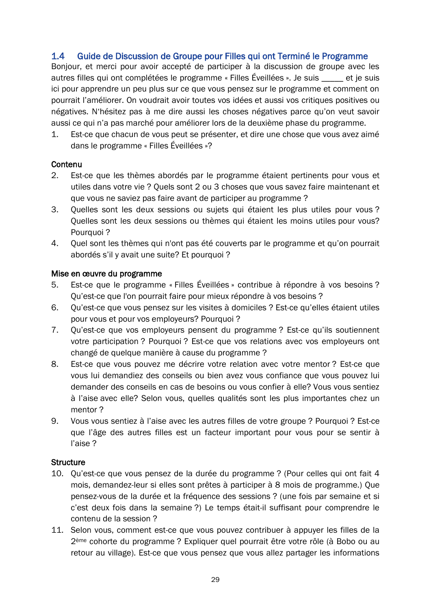### <span id="page-31-0"></span>1.4 Guide de Discussion de Groupe pour Filles qui ont Terminé le Programme

Bonjour, et merci pour avoir accepté de participer à la discussion de groupe avec les autres filles qui ont complétées le programme « Filles Éveillées ». Je suis et je suis ici pour apprendre un peu plus sur ce que vous pensez sur le programme et comment on pourrait l'améliorer. On voudrait avoir toutes vos idées et aussi vos critiques positives ou négatives. N'hésitez pas à me dire aussi les choses négatives parce qu'on veut savoir aussi ce qui n'a pas marché pour améliorer lors de la deuxième phase du programme.

1. Est-ce que chacun de vous peut se présenter, et dire une chose que vous avez aimé dans le programme « Filles Éveillées »?

### Contenu

- 2. Est-ce que les thèmes abordés par le programme étaient pertinents pour vous et utiles dans votre vie ? Quels sont 2 ou 3 choses que vous savez faire maintenant et que vous ne saviez pas faire avant de participer au programme ?
- 3. Quelles sont les deux sessions ou sujets qui étaient les plus utiles pour vous ? Quelles sont les deux sessions ou thèmes qui étaient les moins utiles pour vous? Pourquoi ?
- 4. Quel sont les thèmes qui n'ont pas été couverts par le programme et qu'on pourrait abordés s'il y avait une suite? Et pourquoi ?

### Mise en œuvre du programme

- 5. Est-ce que le programme « Filles Éveillées » contribue à répondre à vos besoins ? Qu'est-ce que l'on pourrait faire pour mieux répondre à vos besoins ?
- 6. Qu'est-ce que vous pensez sur les visites à domiciles ? Est-ce qu'elles étaient utiles pour vous et pour vos employeurs? Pourquoi ?
- 7. Qu'est-ce que vos employeurs pensent du programme ? Est-ce qu'ils soutiennent votre participation ? Pourquoi ? Est-ce que vos relations avec vos employeurs ont changé de quelque manière à cause du programme ?
- 8. Est-ce que vous pouvez me décrire votre relation avec votre mentor ? Est-ce que vous lui demandiez des conseils ou bien avez vous confiance que vous pouvez lui demander des conseils en cas de besoins ou vous confier à elle? Vous vous sentiez à l'aise avec elle? Selon vous, quelles qualités sont les plus importantes chez un mentor ?
- 9. Vous vous sentiez à l'aise avec les autres filles de votre groupe ? Pourquoi ? Est-ce que l'âge des autres filles est un facteur important pour vous pour se sentir à l'aise ?

### **Structure**

- 10. Qu'est-ce que vous pensez de la durée du programme ? (Pour celles qui ont fait 4 mois, demandez-leur si elles sont prêtes à participer à 8 mois de programme.) Que pensez-vous de la durée et la fréquence des sessions ? (une fois par semaine et si c'est deux fois dans la semaine ?) Le temps était-il suffisant pour comprendre le contenu de la session ?
- 11. Selon vous, comment est-ce que vous pouvez contribuer à appuyer les filles de la 2ème cohorte du programme ? Expliquer quel pourrait être votre rôle (à Bobo ou au retour au village). Est-ce que vous pensez que vous allez partager les informations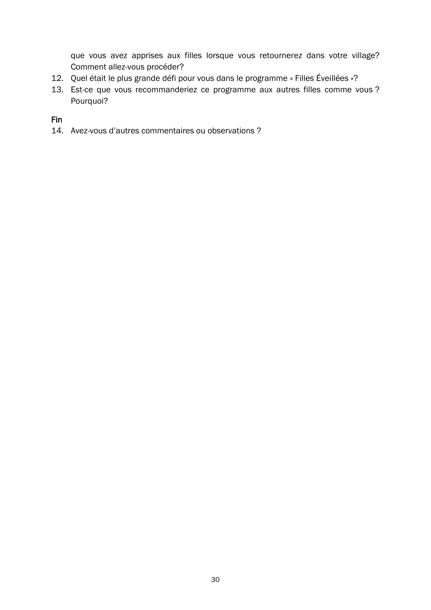que vous avez apprises aux filles lorsque vous retournerez dans votre village? Comment allez-vous procéder?

- 12. Quel était le plus grande défi pour vous dans le programme « Filles Éveillées »?
- 13. Est-ce que vous recommanderiez ce programme aux autres filles comme vous ? Pourquoi?

Fin

14. Avez-vous d'autres commentaires ou observations ?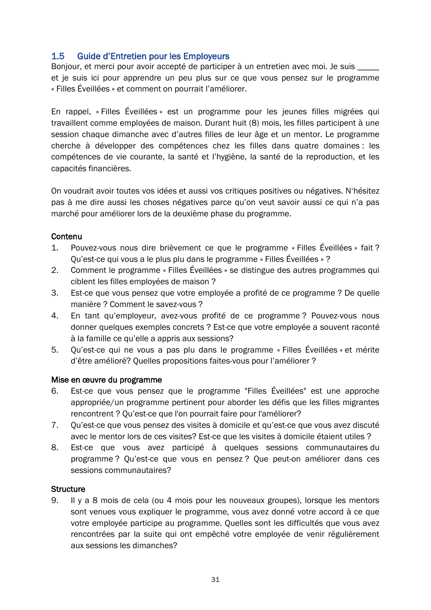### <span id="page-33-0"></span>1.5 Guide d'Entretien pour les Employeurs

Bonjour, et merci pour avoir accepté de participer à un entretien avec moi. Je suis et je suis ici pour apprendre un peu plus sur ce que vous pensez sur le programme « Filles Éveillées » et comment on pourrait l'améliorer.

En rappel, « Filles Éveillées » est un programme pour les jeunes filles migrées qui travaillent comme employées de maison. Durant huit (8) mois, les filles participent à une session chaque dimanche avec d'autres filles de leur âge et un mentor. Le programme cherche à développer des compétences chez les filles dans quatre domaines : les compétences de vie courante, la santé et l'hygiène, la santé de la reproduction, et les capacités financières.

On voudrait avoir toutes vos idées et aussi vos critiques positives ou négatives. N'hésitez pas à me dire aussi les choses négatives parce qu'on veut savoir aussi ce qui n'a pas marché pour améliorer lors de la deuxième phase du programme.

### **Contenu**

- 1. Pouvez-vous nous dire brièvement ce que le programme « Filles Éveillées » fait ? Qu'est-ce qui vous a le plus plu dans le programme « Filles Éveillées » ?
- 2. Comment le programme « Filles Éveillées » se distingue des autres programmes qui ciblent les filles employées de maison ?
- 3. Est-ce que vous pensez que votre employée a profité de ce programme ? De quelle manière ? Comment le savez-vous ?
- 4. En tant qu'employeur, avez-vous profité de ce programme ? Pouvez-vous nous donner quelques exemples concrets ? Est-ce que votre employée a souvent raconté à la famille ce qu'elle a appris aux sessions?
- 5. Qu'est-ce qui ne vous a pas plu dans le programme « Filles Éveillées » et mérite d'être amélioré? Quelles propositions faites-vous pour l'améliorer ?

### Mise en œuvre du programme

- 6. Est-ce que vous pensez que le programme "Filles Éveillées" est une approche appropriée/un programme pertinent pour aborder les défis que les filles migrantes rencontrent ? Qu'est-ce que l'on pourrait faire pour l'améliorer?
- 7. Qu'est-ce que vous pensez des visites à domicile et qu'est-ce que vous avez discuté avec le mentor lors de ces visites? Est-ce que les visites à domicile étaient utiles ?
- 8. Est-ce que vous avez participé à quelques sessions communautaires du programme ? Qu'est-ce que vous en pensez ? Que peut-on améliorer dans ces sessions communautaires?

### **Structure**

9. Il y a 8 mois de cela (ou 4 mois pour les nouveaux groupes), lorsque les mentors sont venues vous expliquer le programme, vous avez donné votre accord à ce que votre employée participe au programme. Quelles sont les difficultés que vous avez rencontrées par la suite qui ont empêché votre employée de venir régulièrement aux sessions les dimanches?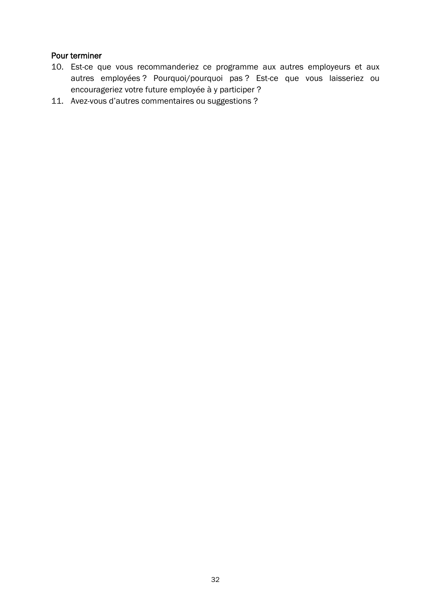#### Pour terminer

- 10. Est-ce que vous recommanderiez ce programme aux autres employeurs et aux autres employées ? Pourquoi/pourquoi pas ? Est-ce que vous laisseriez ou encourageriez votre future employée à y participer ?
- 11. Avez-vous d'autres commentaires ou suggestions ?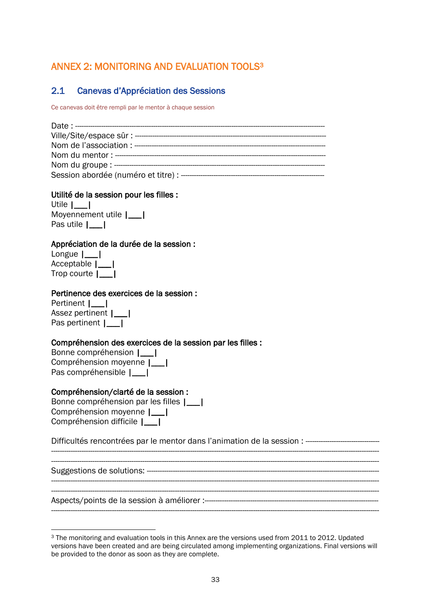# <span id="page-35-0"></span>ANNEX 2: MONITORING AND EVALUATION TOOLS<sup>3</sup>

### <span id="page-35-1"></span>2.1 Canevas d'Appréciation des Sessions

Ce canevas doit être rempli par le mentor à chaque session

|                                                                               | Utilité de la session pour les filles : |  |  |
|-------------------------------------------------------------------------------|-----------------------------------------|--|--|
| $\mathbf{1}$ $\mathbf{1}$ $\mathbf{1}$ $\mathbf{1}$ $\mathbf{1}$ $\mathbf{1}$ |                                         |  |  |

| Utile $ \_\_ $               |  |
|------------------------------|--|
| Moyennement utile  ___       |  |
| Pas utile $ $ <sub>___</sub> |  |

#### Appréciation de la durée de la session :

| Longue $ $      |  |
|-----------------|--|
| Acceptable  __  |  |
| Trop courte $ $ |  |

#### Pertinence des exercices de la session :

Pertinent |\_\_\_| Assez pertinent |\_\_\_| Pas pertinent |\_\_\_|

#### Compréhension des exercices de la session par les filles :

Bonne compréhension |\_\_\_| Compréhension moyenne |\_\_\_| Pas compréhensible |\_\_\_|

#### Compréhension/clarté de la session :

| Bonne compréhension par les filles  __ |  |
|----------------------------------------|--|
|                                        |  |
| Compréhension difficile  __            |  |

Difficultés rencontrées par le mentor dans l'animation de la session : ---------------------------------- -------------------------------------------------------------------------------------------------------------------------------------------------------

-------------------------------------------------------------------------------------------------------------------------------------------------------

-------------------------------------------------------------------------------------------------------------------------------------------------------

-------------------------------------------------------------------------------------------------------------------------------------------------------

Suggestions de solutions: -----------------------------------------------------------------------------------------------------------

------------------------------------------------------------------------------------------------------------------------------------------------------- Aspects/points de la session à améliorer :--------------------------------------------------------------------------------

<sup>&</sup>lt;sup>3</sup> The monitoring and evaluation tools in this Annex are the versions used from 2011 to 2012. Updated versions have been created and are being circulated among implementing organizations. Final versions will be provided to the donor as soon as they are complete.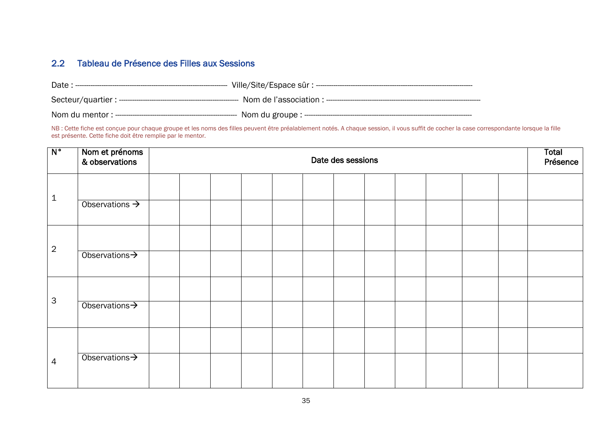### 2.2 Tableau de Présence des Filles aux Sessions

| Date | Ville/Site/Espace sûr :          |
|------|----------------------------------|
|      | Nom de l'association : --------- |
|      | Nom du groupe : ----------       |

NB : Cette fiche est conçue pour chaque groupe et les noms des filles peuvent être préalablement notés. A chaque session, il vous suffit de cocher la case correspondante lorsque la fille est présente. Cette fiche doit être remplie par le mentor.

<span id="page-37-0"></span>

| $N^{\circ}$    | Nom et prénoms<br>& observations | Date des sessions |  |  |  |  |  |  |  |  | <b>Total</b><br>Présence |  |  |
|----------------|----------------------------------|-------------------|--|--|--|--|--|--|--|--|--------------------------|--|--|
| $\mathbf 1$    |                                  |                   |  |  |  |  |  |  |  |  |                          |  |  |
|                | Observations $\rightarrow$       |                   |  |  |  |  |  |  |  |  |                          |  |  |
| $\overline{2}$ |                                  |                   |  |  |  |  |  |  |  |  |                          |  |  |
|                | Observations >                   |                   |  |  |  |  |  |  |  |  |                          |  |  |
| 3              |                                  |                   |  |  |  |  |  |  |  |  |                          |  |  |
|                | Observations >                   |                   |  |  |  |  |  |  |  |  |                          |  |  |
|                |                                  |                   |  |  |  |  |  |  |  |  |                          |  |  |
| 4              | Observations >                   |                   |  |  |  |  |  |  |  |  |                          |  |  |
|                |                                  |                   |  |  |  |  |  |  |  |  |                          |  |  |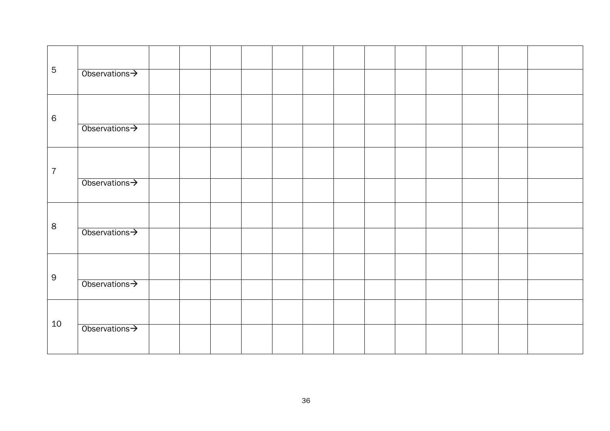| $\sqrt{5}$      | Observations > |  |  |  |  |  |  |  |
|-----------------|----------------|--|--|--|--|--|--|--|
| $6\phantom{1}6$ |                |  |  |  |  |  |  |  |
|                 | Observations > |  |  |  |  |  |  |  |
| $\overline{7}$  |                |  |  |  |  |  |  |  |
|                 | Observations > |  |  |  |  |  |  |  |
| $\bf 8$         |                |  |  |  |  |  |  |  |
|                 | Observations > |  |  |  |  |  |  |  |
| $\mathsf 9$     |                |  |  |  |  |  |  |  |
|                 | Observations > |  |  |  |  |  |  |  |
| 10              |                |  |  |  |  |  |  |  |
|                 | Observations > |  |  |  |  |  |  |  |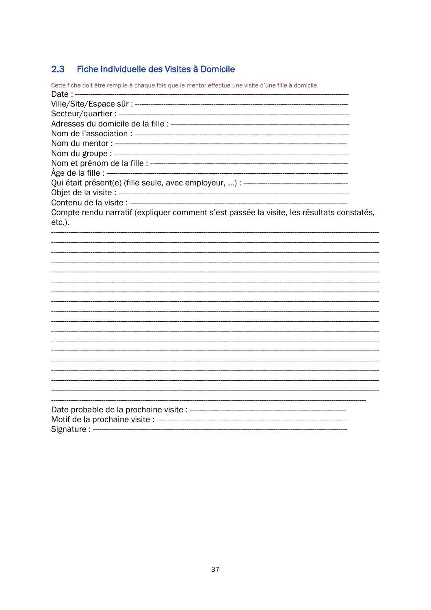# <span id="page-39-0"></span>2.3 Fiche Individuelle des Visites à Domicile

| Cette fiche doit être remplie à chaque fois que le mentor effectue une visite d'une fille à domicile. |
|-------------------------------------------------------------------------------------------------------|
| Date : -                                                                                              |
|                                                                                                       |
|                                                                                                       |
|                                                                                                       |
|                                                                                                       |
|                                                                                                       |
|                                                                                                       |
|                                                                                                       |
|                                                                                                       |
|                                                                                                       |
|                                                                                                       |
|                                                                                                       |
| Compte rendu narratif (expliquer comment s'est passée la visite, les résultats constatés,             |
| etc.).                                                                                                |
|                                                                                                       |
|                                                                                                       |
|                                                                                                       |
|                                                                                                       |
|                                                                                                       |
|                                                                                                       |
|                                                                                                       |
|                                                                                                       |
|                                                                                                       |
|                                                                                                       |
|                                                                                                       |
|                                                                                                       |
|                                                                                                       |
|                                                                                                       |
|                                                                                                       |
|                                                                                                       |
|                                                                                                       |
|                                                                                                       |
|                                                                                                       |
|                                                                                                       |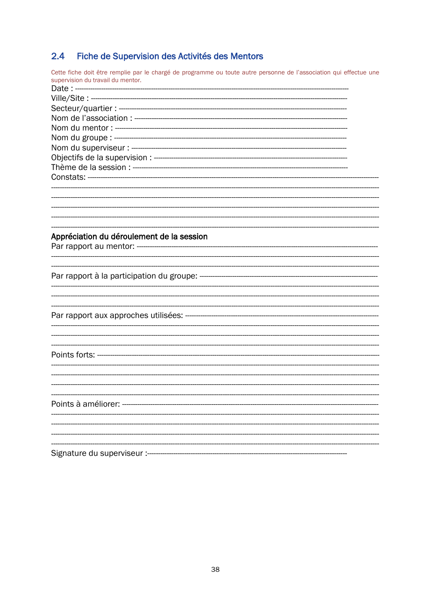#### <span id="page-40-0"></span> $2.4$ Fiche de Supervision des Activités des Mentors

Cette fiche doit être remplie par le chargé de programme ou toute autre personne de l'association qui effectue une supervision du travail du mentor.

| Appréciation du déroulement de la session |
|-------------------------------------------|
|                                           |
|                                           |
|                                           |
|                                           |
|                                           |
|                                           |
|                                           |
|                                           |
|                                           |
|                                           |
|                                           |
|                                           |
|                                           |
|                                           |
|                                           |
|                                           |
|                                           |
|                                           |
|                                           |
|                                           |
| Signature du superviseur :--------------  |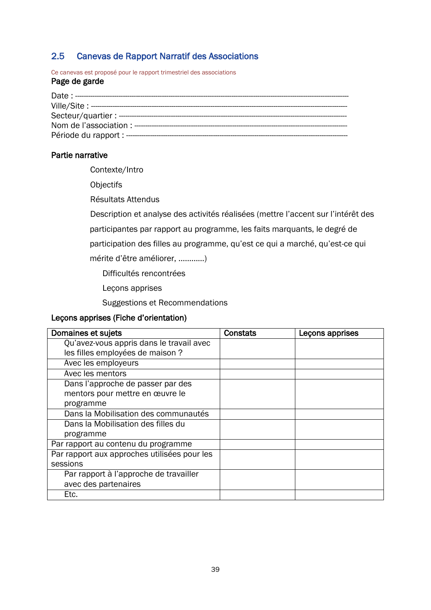# <span id="page-41-0"></span>2.5 Canevas de Rapport Narratif des Associations

Ce canevas est proposé pour le rapport trimestriel des associations

### Page de garde

#### Partie narrative

Contexte/Intro

**Objectifs** 

Résultats Attendus

Description et analyse des activités réalisées (mettre l'accent sur l'intérêt des

participantes par rapport au programme, les faits marquants, le degré de

participation des filles au programme, qu'est ce qui a marché, qu'est-ce qui

mérite d'être améliorer, …………)

Difficultés rencontrées

Leçons apprises

Suggestions et Recommendations

### Leçons apprises (Fiche d'orientation)

| Domaines et sujets                           | <b>Constats</b> | Leçons apprises |
|----------------------------------------------|-----------------|-----------------|
| Qu'avez-vous appris dans le travail avec     |                 |                 |
| les filles employées de maison ?             |                 |                 |
| Avec les employeurs                          |                 |                 |
| Avec les mentors                             |                 |                 |
| Dans l'approche de passer par des            |                 |                 |
| mentors pour mettre en œuvre le              |                 |                 |
| programme                                    |                 |                 |
| Dans la Mobilisation des communautés         |                 |                 |
| Dans la Mobilisation des filles du           |                 |                 |
| programme                                    |                 |                 |
| Par rapport au contenu du programme          |                 |                 |
| Par rapport aux approches utilisées pour les |                 |                 |
| sessions                                     |                 |                 |
| Par rapport à l'approche de travailler       |                 |                 |
| avec des partenaires                         |                 |                 |
| Etc.                                         |                 |                 |